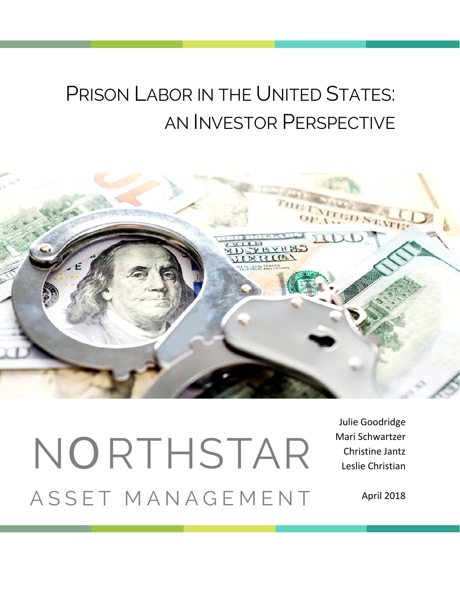# PRISON LABOR IN THE UNITED STATES: AN INVESTOR PERSPECTIVE



# NORTHSTAR ASSET MANAGEMENT

Julie Goodridge Mari Schwartzer Christine Jantz Leslie Christian

April 2018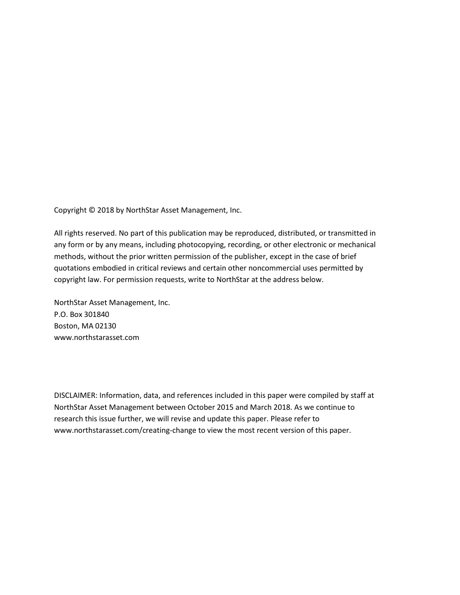Copyright © 2018 by NorthStar Asset Management, Inc.

All rights reserved. No part of this publication may be reproduced, distributed, or transmitted in any form or by any means, including photocopying, recording, or other electronic or mechanical methods, without the prior written permission of the publisher, except in the case of brief quotations embodied in critical reviews and certain other noncommercial uses permitted by copyright law. For permission requests, write to NorthStar at the address below.

NorthStar Asset Management, Inc. P.O. Box 301840 Boston, MA 02130 www.northstarasset.com

DISCLAIMER: Information, data, and references included in this paper were compiled by staff at NorthStar Asset Management between October 2015 and March 2018. As we continue to research this issue further, we will revise and update this paper. Please refer to www.northstarasset.com/creating-change to view the most recent version of this paper.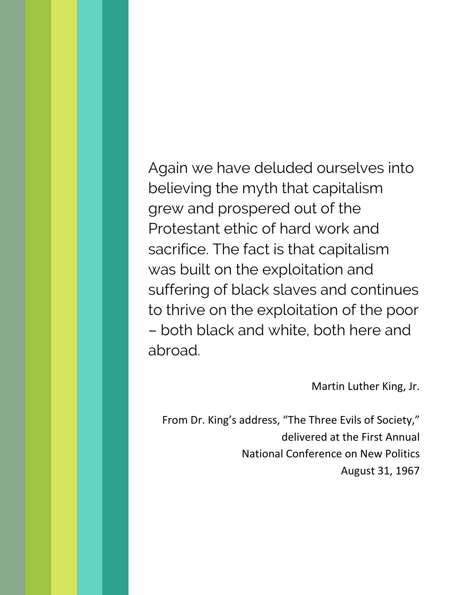Again we have deluded ourselves into believing the myth that capitalism grew and prospered out of the Protestant ethic of hard work and sacrifice. The fact is that capitalism was built on the exploitation and suffering of black slaves and continues to thrive on the exploitation of the poor – both black and white, both here and abroad.

Martin Luther King, Jr.

From Dr. King's address, "The Three Evils of Society," delivered at the First Annual National Conference on New Politics August 31, 1967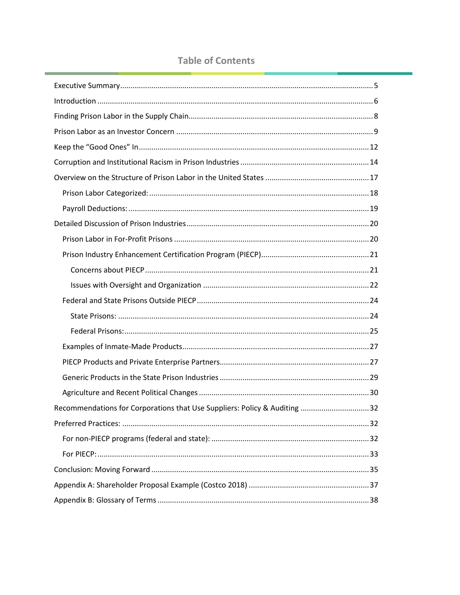# **Table of Contents**

| Recommendations for Corporations that Use Suppliers: Policy & Auditing 32 |
|---------------------------------------------------------------------------|
|                                                                           |
|                                                                           |
|                                                                           |
|                                                                           |
|                                                                           |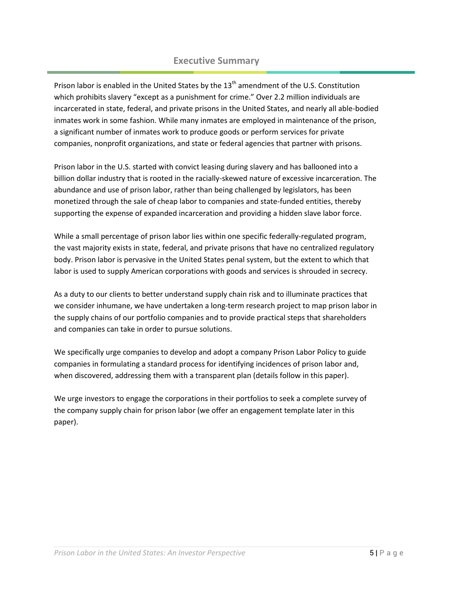# **Executive Summary**

<span id="page-4-0"></span>Prison labor is enabled in the United States by the 13<sup>th</sup> amendment of the U.S. Constitution which prohibits slavery "except as a punishment for crime." Over 2.2 million individuals are incarcerated in state, federal, and private prisons in the United States, and nearly all able-bodied inmates work in some fashion. While many inmates are employed in maintenance of the prison, a significant number of inmates work to produce goods or perform services for private companies, nonprofit organizations, and state or federal agencies that partner with prisons.

Prison labor in the U.S. started with convict leasing during slavery and has ballooned into a billion dollar industry that is rooted in the racially-skewed nature of excessive incarceration. The abundance and use of prison labor, rather than being challenged by legislators, has been monetized through the sale of cheap labor to companies and state-funded entities, thereby supporting the expense of expanded incarceration and providing a hidden slave labor force.

While a small percentage of prison labor lies within one specific federally-regulated program, the vast majority exists in state, federal, and private prisons that have no centralized regulatory body. Prison labor is pervasive in the United States penal system, but the extent to which that labor is used to supply American corporations with goods and services is shrouded in secrecy.

As a duty to our clients to better understand supply chain risk and to illuminate practices that we consider inhumane, we have undertaken a long-term research project to map prison labor in the supply chains of our portfolio companies and to provide practical steps that shareholders and companies can take in order to pursue solutions.

We specifically urge companies to develop and adopt a company Prison Labor Policy to guide companies in formulating a standard process for identifying incidences of prison labor and, when discovered, addressing them with a transparent plan (details follow in this paper).

We urge investors to engage the corporations in their portfolios to seek a complete survey of the company supply chain for prison labor (we offer an engagement template later in this paper).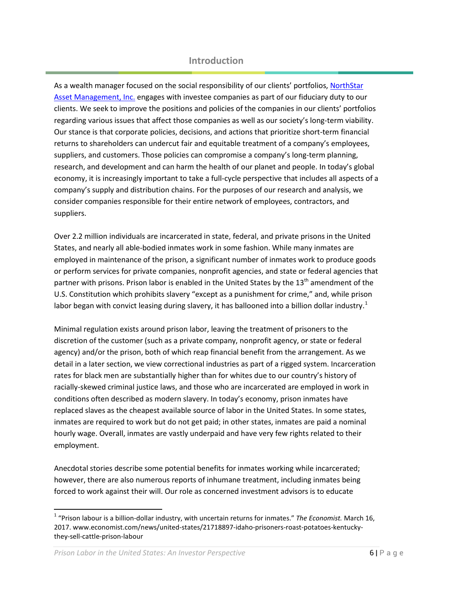# **Introduction**

<span id="page-5-0"></span>As a wealth manager focused on the social responsibility of our clients' portfolios[, NorthStar](http://www.northstarasset.com/)  [Asset Management, Inc.](http://www.northstarasset.com/) engages with investee companies as part of our fiduciary duty to our clients. We seek to improve the positions and policies of the companies in our clients' portfolios regarding various issues that affect those companies as well as our society's long-term viability. Our stance is that corporate policies, decisions, and actions that prioritize short-term financial returns to shareholders can undercut fair and equitable treatment of a company's employees, suppliers, and customers. Those policies can compromise a company's long-term planning, research, and development and can harm the health of our planet and people. In today's global economy, it is increasingly important to take a full-cycle perspective that includes all aspects of a company's supply and distribution chains. For the purposes of our research and analysis, we consider companies responsible for their entire network of employees, contractors, and suppliers.

Over 2.2 million individuals are incarcerated in state, federal, and private prisons in the United States, and nearly all able-bodied inmates work in some fashion. While many inmates are employed in maintenance of the prison, a significant number of inmates work to produce goods or perform services for private companies, nonprofit agencies, and state or federal agencies that partner with prisons. Prison labor is enabled in the United States by the 13<sup>th</sup> amendment of the U.S. Constitution which prohibits slavery "except as a punishment for crime," and, while prison labor began with convict leasing during slavery, it has ballooned into a billion dollar industry.<sup>[1](#page-5-1)</sup>

Minimal regulation exists around prison labor, leaving the treatment of prisoners to the discretion of the customer (such as a private company, nonprofit agency, or state or federal agency) and/or the prison, both of which reap financial benefit from the arrangement. As we detail in a later section, we view correctional industries as part of a rigged system. Incarceration rates for black men are substantially higher than for whites due to our country's history of racially-skewed criminal justice laws, and those who are incarcerated are employed in work in conditions often described as modern slavery. In today's economy, prison inmates have replaced slaves as the cheapest available source of labor in the United States. In some states, inmates are required to work but do not get paid; in other states, inmates are paid a nominal hourly wage. Overall, inmates are vastly underpaid and have very few rights related to their employment.

Anecdotal stories describe some potential benefits for inmates working while incarcerated; however, there are also numerous reports of inhumane treatment, including inmates being forced to work against their will. Our role as concerned investment advisors is to educate

<span id="page-5-1"></span> <sup>1</sup> "Prison labour is a billion-dollar industry, with uncertain returns for inmates." *The Economist.* March 16, 2017. www.economist.com/news/united-states/21718897-idaho-prisoners-roast-potatoes-kentuckythey-sell-cattle-prison-labour

*Prison Labor in the United States: An Investor Perspective* 6 **6 | P** a g e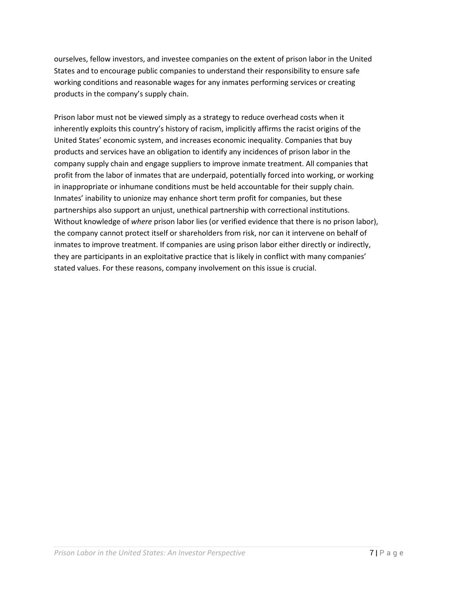ourselves, fellow investors, and investee companies on the extent of prison labor in the United States and to encourage public companies to understand their responsibility to ensure safe working conditions and reasonable wages for any inmates performing services or creating products in the company's supply chain.

Prison labor must not be viewed simply as a strategy to reduce overhead costs when it inherently exploits this country's history of racism, implicitly affirms the racist origins of the United States' economic system, and increases economic inequality. Companies that buy products and services have an obligation to identify any incidences of prison labor in the company supply chain and engage suppliers to improve inmate treatment. All companies that profit from the labor of inmates that are underpaid, potentially forced into working, or working in inappropriate or inhumane conditions must be held accountable for their supply chain. Inmates' inability to unionize may enhance short term profit for companies, but these partnerships also support an unjust, unethical partnership with correctional institutions. Without knowledge of *where* prison labor lies (or verified evidence that there is no prison labor), the company cannot protect itself or shareholders from risk, nor can it intervene on behalf of inmates to improve treatment. If companies are using prison labor either directly or indirectly, they are participants in an exploitative practice that is likely in conflict with many companies' stated values. For these reasons, company involvement on this issue is crucial.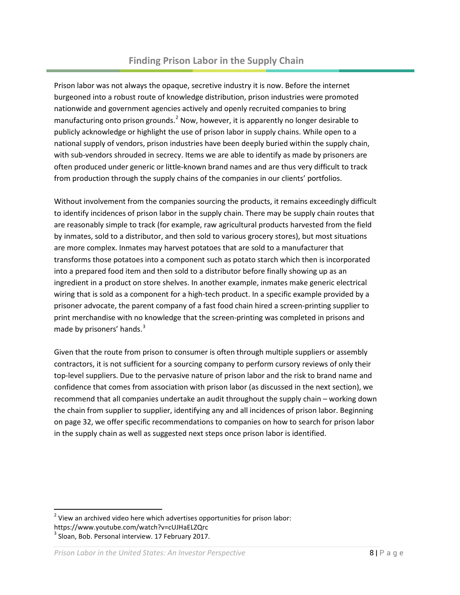<span id="page-7-0"></span>Prison labor was not always the opaque, secretive industry it is now. Before the internet burgeoned into a robust route of knowledge distribution, prison industries were promoted nationwide and government agencies actively and openly recruited companies to bring manufacturing onto prison grounds.<sup>[2](#page-7-1)</sup> Now, however, it is apparently no longer desirable to publicly acknowledge or highlight the use of prison labor in supply chains. While open to a national supply of vendors, prison industries have been deeply buried within the supply chain, with sub-vendors shrouded in secrecy. Items we are able to identify as made by prisoners are often produced under generic or little-known brand names and are thus very difficult to track from production through the supply chains of the companies in our clients' portfolios.

Without involvement from the companies sourcing the products, it remains exceedingly difficult to identify incidences of prison labor in the supply chain. There may be supply chain routes that are reasonably simple to track (for example, raw agricultural products harvested from the field by inmates, sold to a distributor, and then sold to various grocery stores), but most situations are more complex. Inmates may harvest potatoes that are sold to a manufacturer that transforms those potatoes into a component such as potato starch which then is incorporated into a prepared food item and then sold to a distributor before finally showing up as an ingredient in a product on store shelves. In another example, inmates make generic electrical wiring that is sold as a component for a high-tech product. In a specific example provided by a prisoner advocate, the parent company of a fast food chain hired a screen-printing supplier to print merchandise with no knowledge that the screen-printing was completed in prisons and made by prisoners' hands.<sup>[3](#page-7-2)</sup>

Given that the route from prison to consumer is often through multiple suppliers or assembly contractors, it is not sufficient for a sourcing company to perform cursory reviews of only their top-level suppliers. Due to the pervasive nature of prison labor and the risk to brand name and confidence that comes from association with prison labor (as discussed in the next section), we recommend that all companies undertake an audit throughout the supply chain – working down the chain from supplier to supplier, identifying any and all incidences of prison labor. Beginning on page [32,](#page-31-0) we offer specific recommendations to companies on how to search for prison labor in the supply chain as well as suggested next steps once prison labor is identified.

<span id="page-7-1"></span> $2$  View an archived video here which advertises opportunities for prison labor: https://www.youtube.com/watch?v=cUJHaELZQrc

<span id="page-7-2"></span><sup>3</sup> Sloan, Bob. Personal interview. 17 February 2017.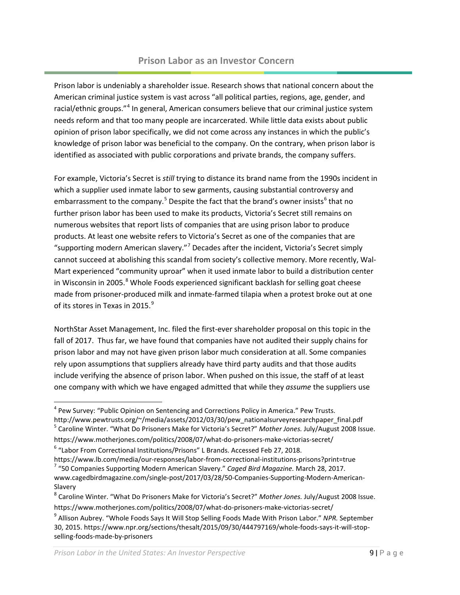#### **Prison Labor as an Investor Concern**

<span id="page-8-0"></span>Prison labor is undeniably a shareholder issue. Research shows that national concern about the American criminal justice system is vast across "all political parties, regions, age, gender, and racial/ethnic groups."<sup>[4](#page-8-1)</sup> In general, American consumers believe that our criminal justice system needs reform and that too many people are incarcerated. While little data exists about public opinion of prison labor specifically, we did not come across any instances in which the public's knowledge of prison labor was beneficial to the company. On the contrary, when prison labor is identified as associated with public corporations and private brands, the company suffers.

For example, Victoria's Secret is *still* trying to distance its brand name from the 1990s incident in which a supplier used inmate labor to sew garments, causing substantial controversy and embarrassment to the company.<sup>[5](#page-8-2)</sup> Despite the fact that the brand's owner insists<sup>[6](#page-8-3)</sup> that no further prison labor has been used to make its products, Victoria's Secret still remains on numerous websites that report lists of companies that are using prison labor to produce products. At least one website refers to Victoria's Secret as one of the companies that are "supporting modern American slavery."<sup>[7](#page-8-4)</sup> Decades after the incident, Victoria's Secret simply cannot succeed at abolishing this scandal from society's collective memory. More recently, Wal-Mart experienced "community uproar" when it used inmate labor to build a distribution center in Wisconsin in 2005.<sup>[8](#page-8-5)</sup> Whole Foods experienced significant backlash for selling goat cheese made from prisoner-produced milk and inmate-farmed tilapia when a protest broke out at one of its stores in Texas in 2015.<sup>[9](#page-8-6)</sup>

NorthStar Asset Management, Inc. filed the first-ever shareholder proposal on this topic in the fall of 2017. Thus far, we have found that companies have not audited their supply chains for prison labor and may not have given prison labor much consideration at all. Some companies rely upon assumptions that suppliers already have third party audits and that those audits include verifying the absence of prison labor. When pushed on this issue, the staff of at least one company with which we have engaged admitted that while they *assume* the suppliers use

<span id="page-8-1"></span><sup>&</sup>lt;sup>4</sup> Pew Survey: "Public Opinion on Sentencing and Corrections Policy in America." Pew Trusts.

<span id="page-8-2"></span>http://www.pewtrusts.org/~/media/assets/2012/03/30/pew\_nationalsurveyresearchpaper\_final.pdf<br><sup>5</sup> Caroline Winter. "What Do Prisoners Make for Victoria's Secret?" *Mother Jones. July/August 2008 Issue.* 

https://www.motherjones.com/politics/2008/07/what-do-prisoners-make-victorias-secret/

<span id="page-8-3"></span> $6$  "Labor From Correctional Institutions/Prisons" L Brands. Accessed Feb 27, 2018.

<span id="page-8-4"></span>https://www.lb.com/media/our-responses/labor-from-correctional-institutions-prisons?print=true <sup>7</sup> "50 Companies Supporting Modern American Slavery." *Caged Bird Magazine.* March 28, 2017. www.cagedbirdmagazine.com/single-post/2017/03/28/50-Companies-Supporting-Modern-American-Slavery

<span id="page-8-5"></span><sup>8</sup> Caroline Winter. "What Do Prisoners Make for Victoria's Secret?" *Mother Jones.* July/August 2008 Issue. https://www.motherjones.com/politics/2008/07/what-do-prisoners-make-victorias-secret/

<span id="page-8-6"></span><sup>9</sup> Allison Aubrey. "Whole Foods Says It Will Stop Selling Foods Made With Prison Labor." *NPR.* September 30, 2015. https://www.npr.org/sections/thesalt/2015/09/30/444797169/whole-foods-says-it-will-stopselling-foods-made-by-prisoners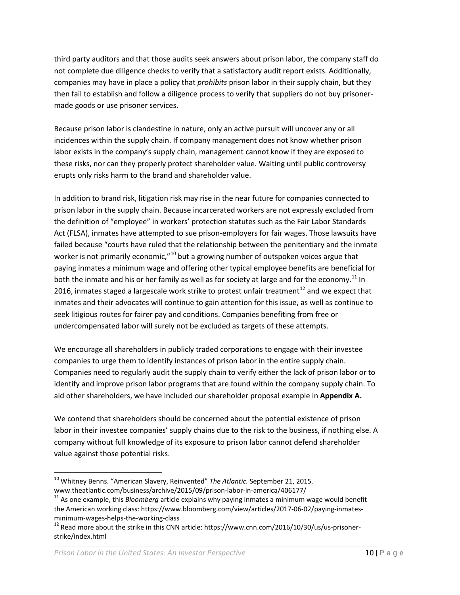third party auditors and that those audits seek answers about prison labor, the company staff do not complete due diligence checks to verify that a satisfactory audit report exists. Additionally, companies may have in place a policy that *prohibits* prison labor in their supply chain, but they then fail to establish and follow a diligence process to verify that suppliers do not buy prisonermade goods or use prisoner services.

Because prison labor is clandestine in nature, only an active pursuit will uncover any or all incidences within the supply chain. If company management does not know whether prison labor exists in the company's supply chain, management cannot know if they are exposed to these risks, nor can they properly protect shareholder value. Waiting until public controversy erupts only risks harm to the brand and shareholder value.

In addition to brand risk, litigation risk may rise in the near future for companies connected to prison labor in the supply chain. Because incarcerated workers are not expressly excluded from the definition of "employee" in workers' protection statutes such as the Fair Labor Standards Act (FLSA), inmates have attempted to sue prison-employers for fair wages. Those lawsuits have failed because "courts have ruled that the relationship between the penitentiary and the inmate worker is not primarily economic," $10$  but a growing number of outspoken voices argue that paying inmates a minimum wage and offering other typical employee benefits are beneficial for both the inmate and his or her family as well as for society at large and for the economy.<sup>[11](#page-9-1)</sup> In 2016, inmates staged a largescale work strike to protest unfair treatment<sup>[12](#page-9-2)</sup> and we expect that inmates and their advocates will continue to gain attention for this issue, as well as continue to seek litigious routes for fairer pay and conditions. Companies benefiting from free or undercompensated labor will surely not be excluded as targets of these attempts.

We encourage all shareholders in publicly traded corporations to engage with their investee companies to urge them to identify instances of prison labor in the entire supply chain. Companies need to regularly audit the supply chain to verify either the lack of prison labor or to identify and improve prison labor programs that are found within the company supply chain. To aid other shareholders, we have included our shareholder proposal example in **Appendix A.**

We contend that shareholders should be concerned about the potential existence of prison labor in their investee companies' supply chains due to the risk to the business, if nothing else. A company without full knowledge of its exposure to prison labor cannot defend shareholder value against those potential risks.

<span id="page-9-0"></span> <sup>10</sup> Whitney Benns. "American Slavery, Reinvented" *The Atlantic.* September 21, 2015.

<span id="page-9-1"></span>www.theatlantic.com/business/archive/2015/09/prison-labor-in-america/406177/<br><sup>11</sup> As one example, this *Bloomberg* article explains why paying inmates a minimum wage would benefit the American working class: https://www.bloomberg.com/view/articles/2017-06-02/paying-inmatesminimum-wages-helps-the-working-class<br><sup>12</sup> Read more about the strike in this CNN article: https://www.cnn.com/2016/10/30/us/us-prisoner-

<span id="page-9-2"></span>strike/index.html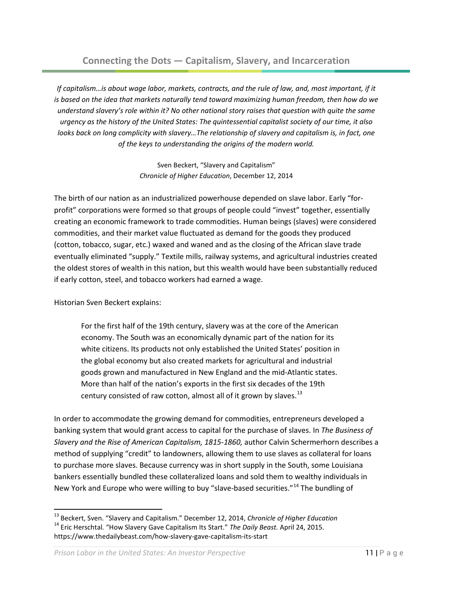*If capitalism…is about wage labor, markets, contracts, and the rule of law, and, most important, if it is based on the idea that markets naturally tend toward maximizing human freedom, then how do we understand slavery's role within it? No other national story raises that question with quite the same urgency as the history of the United States: The quintessential capitalist society of our time, it also looks back on long complicity with slavery…The relationship of slavery and capitalism is, in fact, one of the keys to understanding the origins of the modern world.*

> Sven Beckert, "Slavery and Capitalism" *Chronicle of Higher Education*, December 12, 2014

The birth of our nation as an industrialized powerhouse depended on slave labor. Early "forprofit" corporations were formed so that groups of people could "invest" together, essentially creating an economic framework to trade commodities. Human beings (slaves) were considered commodities, and their market value fluctuated as demand for the goods they produced (cotton, tobacco, sugar, etc.) waxed and waned and as the closing of the African slave trade eventually eliminated "supply." Textile mills, railway systems, and agricultural industries created the oldest stores of wealth in this nation, but this wealth would have been substantially reduced if early cotton, steel, and tobacco workers had earned a wage.

Historian Sven Beckert explains:

For the first half of the 19th century, slavery was at the core of the American economy. The South was an economically dynamic part of the nation for its white citizens. Its products not only established the United States' position in the global economy but also created markets for agricultural and industrial goods grown and manufactured in New England and the mid-Atlantic states. More than half of the nation's exports in the first six decades of the 19th century consisted of raw cotton, almost all of it grown by slaves.<sup>[13](#page-10-0)</sup>

In order to accommodate the growing demand for commodities, entrepreneurs developed a banking system that would grant access to capital for the purchase of slaves. In *The Business of Slavery and the Rise of American Capitalism, 1815-1860,* author Calvin Schermerhorn describes a method of supplying "credit" to landowners, allowing them to use slaves as collateral for loans to purchase more slaves. Because currency was in short supply in the South, some Louisiana bankers essentially bundled these collateralized loans and sold them to wealthy individuals in New York and Europe who were willing to buy "slave-based securities."<sup>[14](#page-10-1)</sup> The bundling of

<span id="page-10-1"></span><span id="page-10-0"></span><sup>&</sup>lt;sup>13</sup> Beckert, Sven. "Slavery and Capitalism." December 12, 2014, *Chronicle of Higher Education*<br><sup>14</sup> Eric Herschtal. "How Slavery Gave Capitalism Its Start." *The Daily Beast.* April 24, 2015. https://www.thedailybeast.com/how-slavery-gave-capitalism-its-start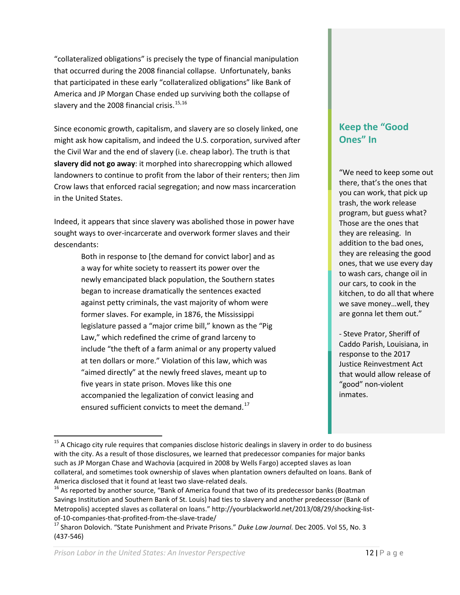"collateralized obligations" is precisely the type of financial manipulation that occurred during the 2008 financial collapse. Unfortunately, banks that participated in these early "collateralized obligations" like Bank of America and JP Morgan Chase ended up surviving both the collapse of slavery and the 2008 financial crisis.<sup>[15](#page-11-0),[16](#page-11-1)</sup>

Since economic growth, capitalism, and slavery are so closely linked, one might ask how capitalism, and indeed the U.S. corporation, survived after the Civil War and the end of slavery (i.e. cheap labor). The truth is that **slavery did not go away**: it morphed into sharecropping which allowed landowners to continue to profit from the labor of their renters; then Jim Crow laws that enforced racial segregation; and now mass incarceration in the United States.

Indeed, it appears that since slavery was abolished those in power have sought ways to over-incarcerate and overwork former slaves and their descendants:

> Both in response to [the demand for convict labor] and as a way for white society to reassert its power over the newly emancipated black population, the Southern states began to increase dramatically the sentences exacted against petty criminals, the vast majority of whom were former slaves. For example, in 1876, the Mississippi legislature passed a "major crime bill," known as the "Pig Law," which redefined the crime of grand larceny to include "the theft of a farm animal or any property valued at ten dollars or more." Violation of this law, which was "aimed directly" at the newly freed slaves, meant up to five years in state prison. Moves like this one accompanied the legalization of convict leasing and ensured sufficient convicts to meet the demand.<sup>[17](#page-11-2)</sup>

# **Keep the "Good Ones" In**

"We need to keep some out there, that's the ones that you can work, that pick up trash, the work release program, but guess what? Those are the ones that they are releasing. In addition to the bad ones, they are releasing the good ones, that we use every day to wash cars, change oil in our cars, to cook in the kitchen, to do all that where we save money…well, they are gonna let them out."

- Steve Prator, Sheriff of Caddo Parish, Louisiana, in response to the 2017 Justice Reinvestment Act that would allow release of "good" non-violent inmates.

<span id="page-11-0"></span><sup>&</sup>lt;sup>15</sup> A Chicago city rule requires that companies disclose historic dealings in slavery in order to do business with the city. As a result of those disclosures, we learned that predecessor companies for major banks such as JP Morgan Chase and Wachovia (acquired in 2008 by Wells Fargo) accepted slaves as loan collateral, and sometimes took ownership of slaves when plantation owners defaulted on loans. Bank of America disclosed that it found at least two slave-related deals.<br><sup>16</sup> As reported by another source, "Bank of America found that two of its predecessor banks (Boatman

<span id="page-11-1"></span>Savings Institution and Southern Bank of St. Louis) had ties to slavery and another predecessor (Bank of Metropolis) accepted slaves as collateral on loans." http://yourblackworld.net/2013/08/29/shocking-listof-10-companies-that-profited-from-the-slave-trade/ <sup>17</sup> Sharon Dolovich. "State Punishment and Private Prisons." *Duke Law Journal.* Dec 2005. Vol 55, No. 3

<span id="page-11-2"></span><sup>(437-546)</sup>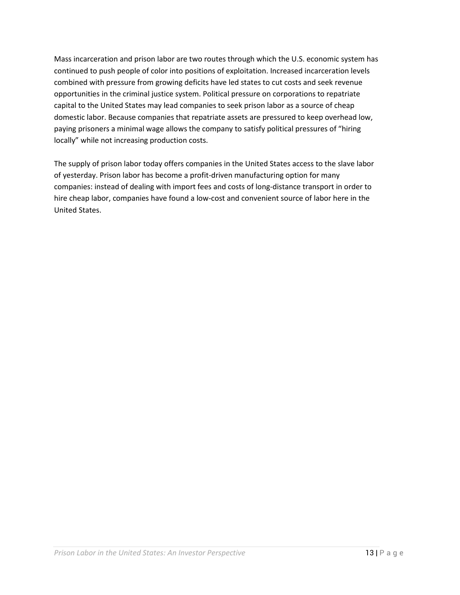Mass incarceration and prison labor are two routes through which the U.S. economic system has continued to push people of color into positions of exploitation. Increased incarceration levels combined with pressure from growing deficits have led states to cut costs and seek revenue opportunities in the criminal justice system. Political pressure on corporations to repatriate capital to the United States may lead companies to seek prison labor as a source of cheap domestic labor. Because companies that repatriate assets are pressured to keep overhead low, paying prisoners a minimal wage allows the company to satisfy political pressures of "hiring locally" while not increasing production costs.

The supply of prison labor today offers companies in the United States access to the slave labor of yesterday. Prison labor has become a profit-driven manufacturing option for many companies: instead of dealing with import fees and costs of long-distance transport in order to hire cheap labor, companies have found a low-cost and convenient source of labor here in the United States.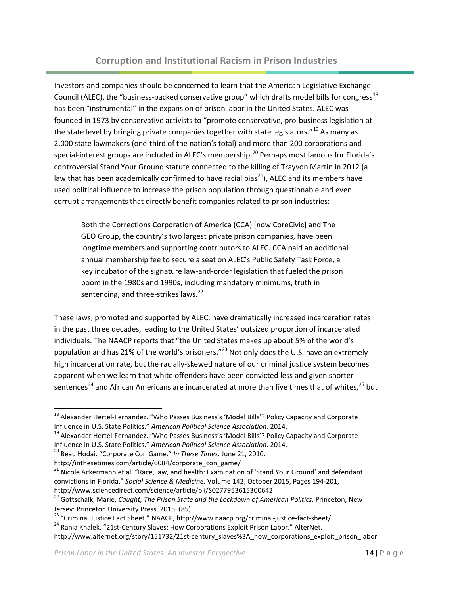# **Corruption and Institutional Racism in Prison Industries**

<span id="page-13-0"></span>Investors and companies should be concerned to learn that the American Legislative Exchange Council (ALEC), the "business-backed conservative group" which drafts model bills for congress<sup>[18](#page-13-1)</sup> has been "instrumental" in the expansion of prison labor in the United States. ALEC was founded in 1973 by conservative activists to "promote conservative, pro-business legislation at the state level by bringing private companies together with state legislators."  $^{19}$  $^{19}$  $^{19}$  As many as 2,000 state lawmakers (one-third of the nation's total) and more than 200 corporations and special-interest groups are included in ALEC's membership.<sup>[20](#page-13-3)</sup> Perhaps most famous for Florida's controversial Stand Your Ground statute connected to the killing of Trayvon Martin in 2012 (a law that has been academically confirmed to have racial bias<sup>[21](#page-13-4)</sup>), ALEC and its members have used political influence to increase the prison population through questionable and even corrupt arrangements that directly benefit companies related to prison industries:

Both the Corrections Corporation of America (CCA) [now CoreCivic] and The GEO Group, the country's two largest private prison companies, have been longtime members and supporting contributors to ALEC. CCA paid an additional annual membership fee to secure a seat on ALEC's Public Safety Task Force, a key incubator of the signature law-and-order legislation that fueled the prison boom in the 1980s and 1990s, including mandatory minimums, truth in sentencing, and three-strikes laws.<sup>[22](#page-13-5)</sup>

These laws, promoted and supported by ALEC, have dramatically increased incarceration rates in the past three decades, leading to the United States' outsized proportion of incarcerated individuals. The NAACP reports that "the United States makes up about 5% of the world's population and has 21% of the world's prisoners."<sup>[23](#page-13-6)</sup> Not only does the U.S. have an extremely high incarceration rate, but the racially-skewed nature of our criminal justice system becomes apparent when we learn that white offenders have been convicted less and given shorter sentences<sup>[24](#page-13-7)</sup> and African Americans are incarcerated at more than five times that of whites,<sup>[25](#page-13-1)</sup> but

<span id="page-13-1"></span><sup>&</sup>lt;sup>18</sup> Alexander Hertel-Fernandez. "Who Passes Business's 'Model Bills'? Policy Capacity and Corporate<br>Influence in U.S. State Politics." American Political Science Association. 2014.

<span id="page-13-2"></span><sup>&</sup>lt;sup>19</sup> Alexander Hertel-Fernandez. "Who Passes Business's 'Model Bills'? Policy Capacity and Corporate Influence in U.S. State Politics." *American Political Science Association.* 2014.<br><sup>20</sup> Beau Hodai. "Corporate Con Game." *In These Times*. June 21, 2010.

<span id="page-13-3"></span>http://inthesetimes.com/article/6084/corporate\_con\_game/

<span id="page-13-4"></span><sup>&</sup>lt;sup>21</sup> Nicole Ackermann et al. "Race, law, and health: Examination of 'Stand Your Ground' and defendant convictions in Florida." *Social Science & Medicine*. Volume 142, October 2015, Pages 194-201,

<span id="page-13-5"></span>http://www.sciencedirect.com/science/article/pii/S0277953615300642<br><sup>22</sup> Gottschalk, Marie. *Caught, The Prison State and the Lockdown of American Politics. Princeton, New* Jersey: Princeton University Press, 2015. (85)<br><sup>23</sup> "Criminal Justice Fact Sheet." NAACP, http://www.naacp.org/criminal-justice-fact-sheet/

<span id="page-13-6"></span>

<span id="page-13-7"></span><sup>&</sup>lt;sup>24</sup> Rania Khalek. "21st-Century Slaves: How Corporations Exploit Prison Labor." AlterNet.

http://www.alternet.org/story/151732/21st-century\_slaves%3A\_how\_corporations\_exploit\_prison\_labor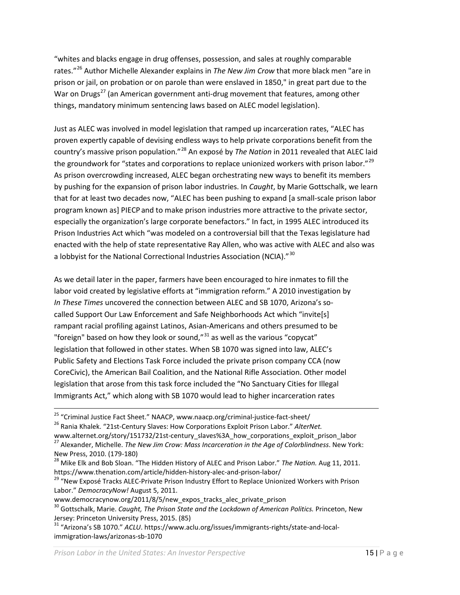"whites and blacks engage in drug offenses, possession, and sales at roughly comparable rates."[26](#page-14-0) Author Michelle Alexander explains in *The New Jim Crow* that more black men "are in prison or jail, on probation or on parole than were enslaved in 1850," in great part due to the War on Drugs<sup>[27](#page-14-1)</sup> (an American government anti-drug movement that features, among other things, mandatory minimum sentencing laws based on ALEC model legislation).

Just as ALEC was involved in model legislation that ramped up incarceration rates, "ALEC has proven expertly capable of devising endless ways to help private corporations benefit from the country's massive prison population."[28](#page-14-2) An exposé by *The Nation* in 2011 revealed that ALEC laid the groundwork for "states and corporations to replace unionized workers with prison labor."<sup>[29](#page-14-3)</sup> As prison overcrowding increased, ALEC began orchestrating new ways to benefit its members by pushing for the expansion of prison labor industries. In *Caught*, by Marie Gottschalk, we learn that for at least two decades now, "ALEC has been pushing to expand [a small-scale prison labor program known as] PIECP and to make prison industries more attractive to the private sector, especially the organization's large corporate benefactors." In fact, in 1995 ALEC introduced its Prison Industries Act which "was modeled on a controversial bill that the Texas legislature had enacted with the help of state representative Ray Allen, who was active with ALEC and also was a lobbyist for the National Correctional Industries Association (NCIA)."<sup>[30](#page-14-4)</sup>

As we detail later in the paper, farmers have been encouraged to hire inmates to fill the labor void created by legislative efforts at "immigration reform." A 2010 investigation by *In These Times* uncovered the connection between ALEC and SB 1070, Arizona's socalled Support Our Law Enforcement and Safe Neighborhoods Act which "invite[s] rampant racial profiling against Latinos, Asian-Americans and others presumed to be "foreign" based on how they look or sound, $^{\prime\prime}$  as well as the various "copycat" legislation that followed in other states. When SB 1070 was signed into law, ALEC's Public Safety and Elections Task Force included the private prison company CCA (now CoreCivic), the American Bail Coalition, and the National Rifle Association. Other model legislation that arose from this task force included the "No Sanctuary Cities for Illegal Immigrants Act," which along with SB 1070 would lead to higher incarceration rates

<span id="page-14-0"></span><sup>&</sup>lt;sup>25</sup> "Criminal Justice Fact Sheet." NAACP, www.naacp.org/criminal-justice-fact-sheet/<br><sup>26</sup> Rania Khalek. "21st-Century Slaves: How Corporations Exploit Prison Labor." *AlterNet.*<br>www.alternet.org/story/151732/21st-century\_ <sup>27</sup> Alexander, Michelle. The New Jim Crow: Mass Incarceration in the Age of Colorblindness. New York:

<span id="page-14-2"></span><span id="page-14-1"></span>New Press, 2010. (179-180)<br><sup>28</sup> Mike Elk and Bob Sloan. "The Hidden History of ALEC and Prison Labor." *The Nation.* Aug 11, 2011.<br>https://www.thenation.com/article/hidden-history-alec-and-prison-labor/

<span id="page-14-3"></span><sup>&</sup>lt;sup>29</sup> "New Exposé Tracks ALEC-Private Prison Industry Effort to Replace Unionized Workers with Prison Labor." *DemocracyNow!* August 5, 2011.

www.democracynow.org/2011/8/5/new\_expos\_tracks\_alec\_private\_prison

<span id="page-14-4"></span><sup>30</sup> Gottschalk, Marie. *Caught, The Prison State and the Lockdown of American Politics.* Princeton, New Jersey: Princeton University Press, 2015. (85)<br><sup>31</sup> "Arizona's SB 1070." *ACLU*. https://www.aclu.org/issues/immigrants-rights/state-and-local-

<span id="page-14-5"></span>immigration-laws/arizonas-sb-1070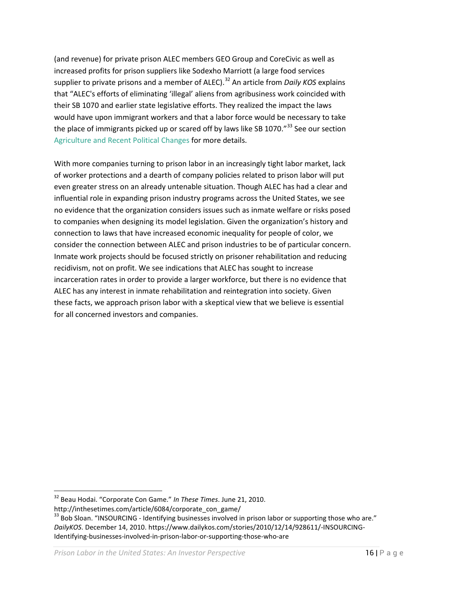(and revenue) for private prison ALEC members GEO Group and CoreCivic as well as increased profits for prison suppliers like Sodexho Marriott (a large food services supplier to private prisons and a member of ALEC).<sup>[32](#page-15-0)</sup> An article from *Daily KOS* explains that "ALEC's efforts of eliminating 'illegal' aliens from agribusiness work coincided with their SB 1070 and earlier state legislative efforts. They realized the impact the laws would have upon immigrant workers and that a labor force would be necessary to take the place of immigrants picked up or scared off by laws like SB 1070."<sup>[33](#page-15-1)</sup> See our section [Agriculture and Recent Political Changes](#page-29-0) for more details.

With more companies turning to prison labor in an increasingly tight labor market, lack of worker protections and a dearth of company policies related to prison labor will put even greater stress on an already untenable situation. Though ALEC has had a clear and influential role in expanding prison industry programs across the United States, we see no evidence that the organization considers issues such as inmate welfare or risks posed to companies when designing its model legislation. Given the organization's history and connection to laws that have increased economic inequality for people of color, we consider the connection between ALEC and prison industries to be of particular concern. Inmate work projects should be focused strictly on prisoner rehabilitation and reducing recidivism, not on profit. We see indications that ALEC has sought to increase incarceration rates in order to provide a larger workforce, but there is no evidence that ALEC has any interest in inmate rehabilitation and reintegration into society. Given these facts, we approach prison labor with a skeptical view that we believe is essential for all concerned investors and companies.

<span id="page-15-0"></span> <sup>32</sup> Beau Hodai. "Corporate Con Game." *In These Times*. June 21, 2010.

http://inthesetimes.com/article/6084/corporate\_con\_game/

<span id="page-15-1"></span><sup>&</sup>lt;sup>33</sup> Bob Sloan. "INSOURCING - Identifying businesses involved in prison labor or supporting those who are." *DailyKOS*. December 14, 2010. https://www.dailykos.com/stories/2010/12/14/928611/-INSOURCING-Identifying-businesses-involved-in-prison-labor-or-supporting-those-who-are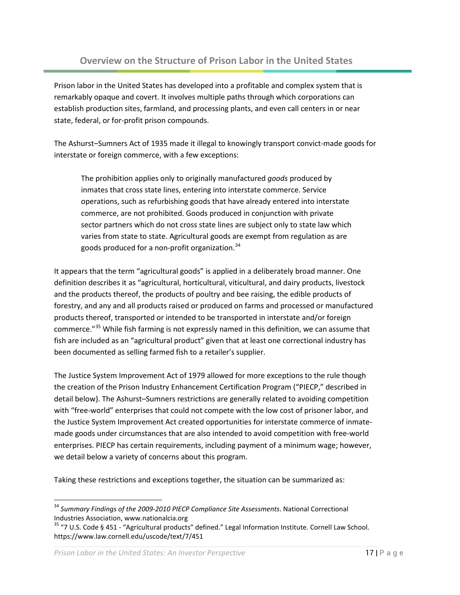<span id="page-16-0"></span>Prison labor in the United States has developed into a profitable and complex system that is remarkably opaque and covert. It involves multiple paths through which corporations can establish production sites, farmland, and processing plants, and even call centers in or near state, federal, or for-profit prison compounds.

The Ashurst–Sumners Act of 1935 made it illegal to knowingly transport convict-made goods for interstate or foreign commerce, with a few exceptions:

The prohibition applies only to originally manufactured *goods* produced by inmates that cross state lines, entering into interstate commerce. Service operations, such as refurbishing goods that have already entered into interstate commerce, are not prohibited. Goods produced in conjunction with private sector partners which do not cross state lines are subject only to state law which varies from state to state. Agricultural goods are exempt from regulation as are goods produced for a non-profit organization.<sup>[34](#page-16-1)</sup>

It appears that the term "agricultural goods" is applied in a deliberately broad manner. One definition describes it as "agricultural, horticultural, viticultural, and dairy products, livestock and the products thereof, the products of poultry and bee raising, the edible products of forestry, and any and all products raised or produced on farms and processed or manufactured products thereof, transported or intended to be transported in interstate and/or foreign commerce."<sup>[35](#page-16-2)</sup> While fish farming is not expressly named in this definition, we can assume that fish are included as an "agricultural product" given that at least one correctional industry has been documented as selling farmed fish to a retailer's supplier.

The Justice System Improvement Act of 1979 allowed for more exceptions to the rule though the creation of the Prison Industry Enhancement Certification Program ("PIECP," described in detail below). The Ashurst–Sumners restrictions are generally related to avoiding competition with "free-world" enterprises that could not compete with the low cost of prisoner labor, and the Justice System Improvement Act created opportunities for interstate commerce of inmatemade goods under circumstances that are also intended to avoid competition with free-world enterprises. PIECP has certain requirements, including payment of a minimum wage; however, we detail below a variety of concerns about this program.

Taking these restrictions and exceptions together, the situation can be summarized as:

<span id="page-16-1"></span> <sup>34</sup> *Summary Findings of the 2009-2010 PIECP Compliance Site Assessments*. National Correctional Industries Association, www.nationalcia.org<br> $35$  "7 U.S. Code § 451 - "Agricultural products" defined." Legal Information Institute. Cornell Law School.

<span id="page-16-2"></span>https://www.law.cornell.edu/uscode/text/7/451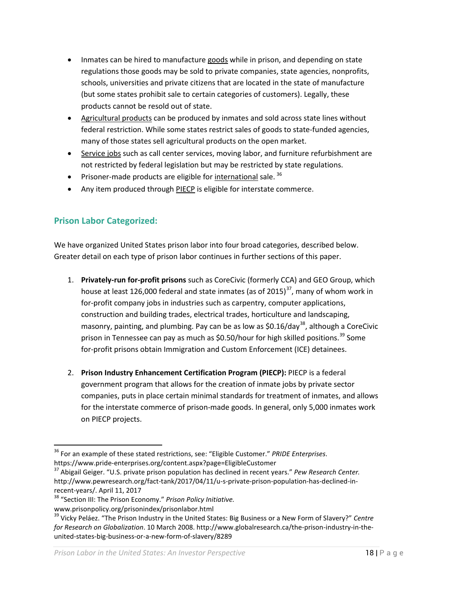- Inmates can be hired to manufacture goods while in prison, and depending on state regulations those goods may be sold to private companies, state agencies, nonprofits, schools, universities and private citizens that are located in the state of manufacture (but some states prohibit sale to certain categories of customers). Legally, these products cannot be resold out of state.
- Agricultural products can be produced by inmates and sold across state lines without federal restriction. While some states restrict sales of goods to state-funded agencies, many of those states sell agricultural products on the open market.
- Service jobs such as call center services, moving labor, and furniture refurbishment are not restricted by federal legislation but may be restricted by state regulations.
- Prisoner-made products are eligible for international sale.  $36$
- Any item produced through PIECP is eligible for interstate commerce.

# <span id="page-17-0"></span>**Prison Labor Categorized:**

We have organized United States prison labor into four broad categories, described below. Greater detail on each type of prison labor continues in further sections of this paper.

- 1. **Privately-run for-profit prisons** such as CoreCivic (formerly CCA) and GEO Group, which house at least 126,000 federal and state inmates (as of 2015)<sup>[37](#page-17-2)</sup>, many of whom work in for-profit company jobs in industries such as carpentry, computer applications, construction and building trades, electrical trades, horticulture and landscaping, masonry, painting, and plumbing. Pay can be as low as  $$0.16/day<sup>38</sup>$  $$0.16/day<sup>38</sup>$  $$0.16/day<sup>38</sup>$ , although a CoreCivic prison in Tennessee can pay as much as \$0.50/hour for high skilled positions.<sup>[39](#page-17-4)</sup> Some for-profit prisons obtain Immigration and Custom Enforcement (ICE) detainees.
- 2. **Prison Industry Enhancement Certification Program (PIECP):** PIECP is a federal government program that allows for the creation of inmate jobs by private sector companies, puts in place certain minimal standards for treatment of inmates, and allows for the interstate commerce of prison-made goods. In general, only 5,000 inmates work on PIECP projects.

<span id="page-17-1"></span> <sup>36</sup> For an example of these stated restrictions, see: "Eligible Customer." *PRIDE Enterprises*.

<span id="page-17-2"></span><sup>&</sup>lt;sup>37</sup> Abigail Geiger. "U.S. private prison population has declined in recent years." *Pew Research Center.* http://www.pewresearch.org/fact-tank/2017/04/11/u-s-private-prison-population-has-declined-inrecent-years/. April 11, 2017<br><sup>38</sup> "Section III: The Prison Economy." *Prison Policy Initiative.* 

<span id="page-17-3"></span>

www.prisonpolicy.org/prisonindex/prisonlabor.html

<span id="page-17-4"></span><sup>39</sup> Vicky Peláez. "The Prison Industry in the United States: Big Business or a New Form of Slavery?" *Centre for Research on Globalization*. 10 March 2008. http://www.globalresearch.ca/the-prison-industry-in-theunited-states-big-business-or-a-new-form-of-slavery/8289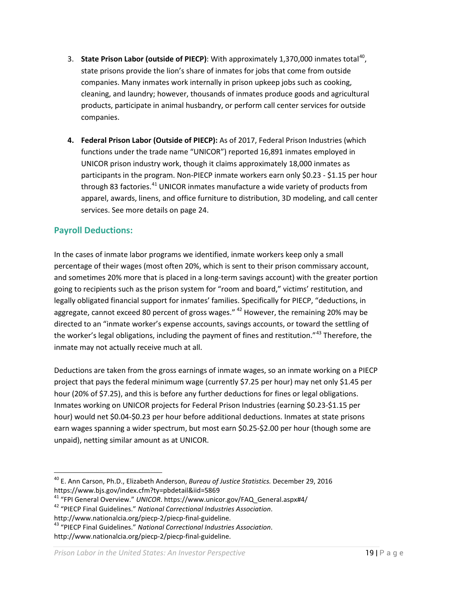- 3. **State Prison Labor (outside of PIECP)**: With approximately 1,370,000 inmates total<sup>40</sup>, state prisons provide the lion's share of inmates for jobs that come from outside companies. Many inmates work internally in prison upkeep jobs such as cooking, cleaning, and laundry; however, thousands of inmates produce goods and agricultural products, participate in animal husbandry, or perform call center services for outside companies.
- **4. Federal Prison Labor (Outside of PIECP):** As of 2017, Federal Prison Industries (which functions under the trade name "UNICOR") reported 16,891 inmates employed in UNICOR prison industry work, though it claims approximately 18,000 inmates as participants in the program. Non-PIECP inmate workers earn only \$0.23 - \$1.15 per hour through 83 factories.<sup>[41](#page-18-2)</sup> UNICOR inmates manufacture a wide variety of products from apparel, awards, linens, and office furniture to distribution, 3D modeling, and call center services. See more details on page [24.](#page-23-0)

### <span id="page-18-0"></span>**Payroll Deductions:**

In the cases of inmate labor programs we identified, inmate workers keep only a small percentage of their wages (most often 20%, which is sent to their prison commissary account, and sometimes 20% more that is placed in a long-term savings account) with the greater portion going to recipients such as the prison system for "room and board," victims' restitution, and legally obligated financial support for inmates' families. Specifically for PIECP, "deductions, in aggregate, cannot exceed 80 percent of gross wages."  $42$  However, the remaining 20% may be directed to an "inmate worker's expense accounts, savings accounts, or toward the settling of the worker's legal obligations, including the payment of fines and restitution."<sup>[43](#page-18-4)</sup> Therefore, the inmate may not actually receive much at all.

Deductions are taken from the gross earnings of inmate wages, so an inmate working on a PIECP project that pays the federal minimum wage (currently \$7.25 per hour) may net only \$1.45 per hour (20% of \$7.25), and this is before any further deductions for fines or legal obligations. Inmates working on UNICOR projects for Federal Prison Industries (earning \$0.23-\$1.15 per hour) would net \$0.04-\$0.23 per hour before additional deductions. Inmates at state prisons earn wages spanning a wider spectrum, but most earn \$0.25-\$2.00 per hour (though some are unpaid), netting similar amount as at UNICOR.

- <span id="page-18-1"></span> 40 E. Ann Carson, Ph.D., Elizabeth Anderson, *Bureau of Justice Statistics.* December 29, 2016 https://www.bjs.gov/index.cfm?ty=pbdetail&iid=5869
- <span id="page-18-2"></span><sup>41</sup> "FPI General Overview." *UNICOR*. https://www.unicor.gov/FAQ\_General.aspx#4/<br><sup>42</sup> "PIECP Final Guidelines." *National Correctional Industries Association*.
- <span id="page-18-3"></span>
- <span id="page-18-4"></span>http://www.nationalcia.org/piecp-2/piecp-final-guideline. <sup>43</sup> "PIECP Final Guidelines." *National Correctional Industries Association*. http://www.nationalcia.org/piecp-2/piecp-final-guideline.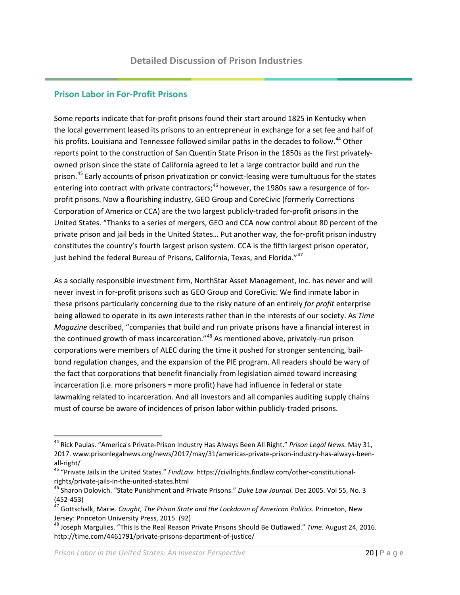#### <span id="page-19-1"></span><span id="page-19-0"></span>**Prison Labor in For-Profit Prisons**

Some reports indicate that for-profit prisons found their start around 1825 in Kentucky when the local government leased its prisons to an entrepreneur in exchange for a set fee and half of his profits. Louisiana and Tennessee followed similar paths in the decades to follow.<sup>[44](#page-19-2)</sup> Other reports point to the construction of San Quentin State Prison in the 1850s as the first privatelyowned prison since the state of California agreed to let a large contractor build and run the prison.<sup>[45](#page-19-3)</sup> Early accounts of prison privatization or convict-leasing were tumultuous for the states entering into contract with private contractors;<sup>[46](#page-19-4)</sup> however, the 1980s saw a resurgence of forprofit prisons. Now a flourishing industry, GEO Group and CoreCivic (formerly Corrections Corporation of America or CCA) are the two largest publicly-traded for-profit prisons in the United States. "Thanks to a series of mergers, GEO and CCA now control about 80 percent of the private prison and jail beds in the United States… Put another way, the for-profit prison industry constitutes the country's fourth largest prison system. CCA is the fifth largest prison operator, just behind the federal Bureau of Prisons, California, Texas, and Florida."<sup>[47](#page-19-5)</sup>

As a socially responsible investment firm, NorthStar Asset Management, Inc. has never and will never invest in for-profit prisons such as GEO Group and CoreCivic. We find inmate labor in these prisons particularly concerning due to the risky nature of an entirely *for profit* enterprise being allowed to operate in its own interests rather than in the interests of our society. As *Time Magazine* described, "companies that build and run private prisons have a financial interest in the continued growth of mass incarceration."<sup>[48](#page-19-6)</sup> As mentioned above, privately-run prison corporations were members of ALEC during the time it pushed for stronger sentencing, bailbond regulation changes, and the expansion of the PIE program. All readers should be wary of the fact that corporations that benefit financially from legislation aimed toward increasing incarceration (i.e. more prisoners = more profit) have had influence in federal or state lawmaking related to incarceration. And all investors and all companies auditing supply chains must of course be aware of incidences of prison labor within publicly-traded prisons.

*Prison Labor in the United States: An Investor Perspective* 2012 2012 2012 2012

<span id="page-19-2"></span> <sup>44</sup> Rick Paulas. "America's Private-Prison Industry Has Always Been All Right." *Prison Legal News.* May 31, 2017. www.prisonlegalnews.org/news/2017/may/31/americas-private-prison-industry-has-always-beenall-right/<br><sup>45</sup> "Private Jails in the United States." *FindLaw.* https://civilrights.findlaw.com/other-constitutional-

<span id="page-19-3"></span>

<span id="page-19-4"></span>rights/private-jails-in-the-united-states.html<br><sup>46</sup> Sharon Dolovich. "State Punishment and Private Prisons." *Duke Law Journal.* Dec 2005. Vol 55, No. 3 (452-453)<br><sup>47</sup> Gottschalk, Marie. *Caught, The Prison State and the Lockdown of American Politics. Princeton, New* 

<span id="page-19-5"></span>Jersey: Princeton University Press, 2015. (92)

<span id="page-19-6"></span><sup>48</sup> Joseph Margulies. "This Is the Real Reason Private Prisons Should Be Outlawed." *Time.* August 24, 2016. http://time.com/4461791/private-prisons-department-of-justice/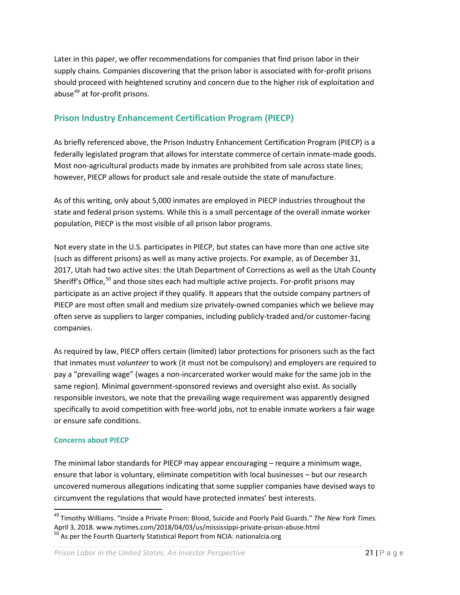Later in this paper, we offer recommendations for companies that find prison labor in their supply chains. Companies discovering that the prison labor is associated with for-profit prisons should proceed with heightened scrutiny and concern due to the higher risk of exploitation and abuse<sup>[49](#page-20-2)</sup> at for-profit prisons.

# <span id="page-20-0"></span>**Prison Industry Enhancement Certification Program (PIECP)**

As briefly referenced above, the Prison Industry Enhancement Certification Program (PIECP) is a federally legislated program that allows for interstate commerce of certain inmate-made goods. Most non-agricultural products made by inmates are prohibited from sale across state lines; however, PIECP allows for product sale and resale outside the state of manufacture.

As of this writing, only about 5,000 inmates are employed in PIECP industries throughout the state and federal prison systems. While this is a small percentage of the overall inmate worker population, PIECP is the most visible of all prison labor programs.

Not every state in the U.S. participates in PIECP, but states can have more than one active site (such as different prisons) as well as many active projects. For example, as of December 31, 2017, Utah had two active sites: the Utah Department of Corrections as well as the Utah County Sheriff's Office,<sup>[50](#page-20-3)</sup> and those sites each had multiple active projects. For-profit prisons may participate as an active project if they qualify. It appears that the outside company partners of PIECP are most often small and medium size privately-owned companies which we believe may often serve as suppliers to larger companies, including publicly-traded and/or customer-facing companies.

As required by law, PIECP offers certain (limited) labor protections for prisoners such as the fact that inmates must *volunteer* to work (it must not be compulsory) and employers are required to pay a "prevailing wage" (wages a non-incarcerated worker would make for the same job in the same region). Minimal government-sponsored reviews and oversight also exist. As socially responsible investors, we note that the prevailing wage requirement was apparently designed specifically to avoid competition with free-world jobs, not to enable inmate workers a fair wage or ensure safe conditions.

#### <span id="page-20-1"></span>**Concerns about PIECP**

The minimal labor standards for PIECP may appear encouraging – require a minimum wage, ensure that labor is voluntary, eliminate competition with local businesses – but our research uncovered numerous allegations indicating that some supplier companies have devised ways to circumvent the regulations that would have protected inmates' best interests.

<span id="page-20-3"></span><span id="page-20-2"></span><sup>&</sup>lt;sup>49</sup> Timothy Williams. "Inside a Private Prison: Blood, Suicide and Poorly Paid Guards." *The New York Times.*<br>April 3, 2018. www.nytimes.com/2018/04/03/us/mississippi-private-prison-abuse.html  $^{50}$  As per the Fourth Quarterly Statistical Report from NCIA: nationalcia.org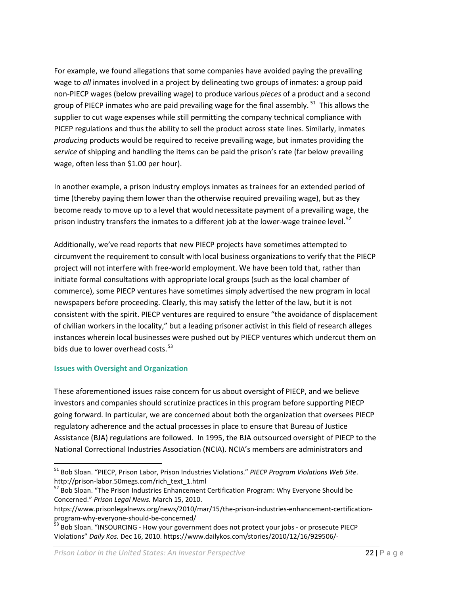For example, we found allegations that some companies have avoided paying the prevailing wage to *all* inmates involved in a project by delineating two groups of inmates: a group paid non-PIECP wages (below prevailing wage) to produce various *pieces* of a product and a second group of PIECP inmates who are paid prevailing wage for the final assembly. <sup>[51](#page-21-1)</sup> This allows the supplier to cut wage expenses while still permitting the company technical compliance with PICEP regulations and thus the ability to sell the product across state lines. Similarly, inmates *producing* products would be required to receive prevailing wage, but inmates providing the *service* of shipping and handling the items can be paid the prison's rate (far below prevailing wage, often less than \$1.00 per hour).

In another example, a prison industry employs inmates as trainees for an extended period of time (thereby paying them lower than the otherwise required prevailing wage), but as they become ready to move up to a level that would necessitate payment of a prevailing wage, the prison industry transfers the inmates to a different job at the lower-wage trainee level.<sup>[52](#page-21-2)</sup>

Additionally, we've read reports that new PIECP projects have sometimes attempted to circumvent the requirement to consult with local business organizations to verify that the PIECP project will not interfere with free-world employment. We have been told that, rather than initiate formal consultations with appropriate local groups (such as the local chamber of commerce), some PIECP ventures have sometimes simply advertised the new program in local newspapers before proceeding. Clearly, this may satisfy the letter of the law, but it is not consistent with the spirit. PIECP ventures are required to ensure "the avoidance of displacement of civilian workers in the locality," but a leading prisoner activist in this field of research alleges instances wherein local businesses were pushed out by PIECP ventures which undercut them on bids due to lower overhead costs.  $53$ 

#### <span id="page-21-0"></span>**Issues with Oversight and Organization**

These aforementioned issues raise concern for us about oversight of PIECP, and we believe investors and companies should scrutinize practices in this program before supporting PIECP going forward. In particular, we are concerned about both the organization that oversees PIECP regulatory adherence and the actual processes in place to ensure that Bureau of Justice Assistance (BJA) regulations are followed. In 1995, the BJA outsourced oversight of PIECP to the National Correctional Industries Association (NCIA). NCIA's members are administrators and

<span id="page-21-1"></span> <sup>51</sup> Bob Sloan. "PIECP, Prison Labor, Prison Industries Violations." *PIECP Program Violations Web Site*. http://prison-labor.50megs.com/rich\_text\_1.html<br><sup>52</sup> Bob Sloan. "The Prison Industries Enhancement Certification Program: Why Everyone Should be

<span id="page-21-2"></span>Concerned." *Prison Legal News.* March 15, 2010.

https://www.prisonlegalnews.org/news/2010/mar/15/the-prison-industries-enhancement-certificationprogram-why-everyone-should-be-concerned/<br><sup>53</sup> Bob Sloan. "INSOURCING - How your government does not protect your jobs - or prosecute PIECP

<span id="page-21-3"></span>Violations" *Daily Kos.* Dec 16, 2010. https://www.dailykos.com/stories/2010/12/16/929506/-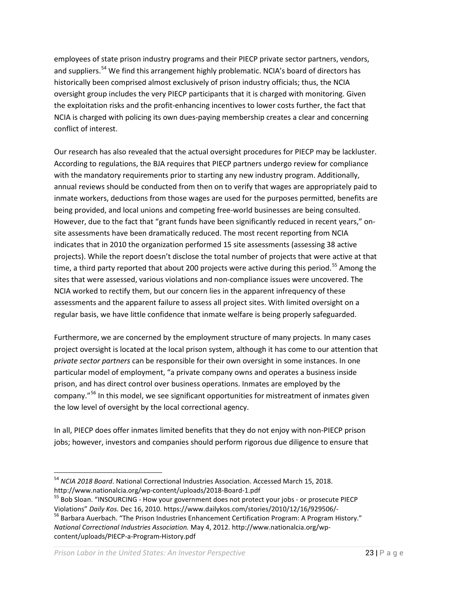employees of state prison industry programs and their PIECP private sector partners, vendors, and suppliers.<sup>[54](#page-22-0)</sup> We find this arrangement highly problematic. NCIA's board of directors has historically been comprised almost exclusively of prison industry officials; thus, the NCIA oversight group includes the very PIECP participants that it is charged with monitoring. Given the exploitation risks and the profit-enhancing incentives to lower costs further, the fact that NCIA is charged with policing its own dues-paying membership creates a clear and concerning conflict of interest.

Our research has also revealed that the actual oversight procedures for PIECP may be lackluster. According to regulations, the BJA requires that PIECP partners undergo review for compliance with the mandatory requirements prior to starting any new industry program. Additionally, annual reviews should be conducted from then on to verify that wages are appropriately paid to inmate workers, deductions from those wages are used for the purposes permitted, benefits are being provided, and local unions and competing free-world businesses are being consulted. However, due to the fact that "grant funds have been significantly reduced in recent years," onsite assessments have been dramatically reduced. The most recent reporting from NCIA indicates that in 2010 the organization performed 15 site assessments (assessing 38 active projects). While the report doesn't disclose the total number of projects that were active at that time, a third party reported that about 200 projects were active during this period.<sup>[55](#page-22-1)</sup> Among the sites that were assessed, various violations and non-compliance issues were uncovered. The NCIA worked to rectify them, but our concern lies in the apparent infrequency of these assessments and the apparent failure to assess all project sites. With limited oversight on a regular basis, we have little confidence that inmate welfare is being properly safeguarded.

Furthermore, we are concerned by the employment structure of many projects. In many cases project oversight is located at the local prison system, although it has come to our attention that *private sector partners* can be responsible for their own oversight in some instances. In one particular model of employment, "a private company owns and operates a business inside prison, and has direct control over business operations. Inmates are employed by the company."[56](#page-22-2) In this model, we see significant opportunities for mistreatment of inmates given the low level of oversight by the local correctional agency.

In all, PIECP does offer inmates limited benefits that they do not enjoy with non-PIECP prison jobs; however, investors and companies should perform rigorous due diligence to ensure that

<span id="page-22-0"></span> <sup>54</sup> *NCIA 2018 Board*. National Correctional Industries Association. Accessed March 15, 2018. http://www.nationalcia.org/wp-content/uploads/2018-Board-1.pdf<br><sup>55</sup> Bob Sloan. "INSOURCING - How your government does not protect your jobs - or prosecute PIECP

<span id="page-22-1"></span>

<span id="page-22-2"></span>Violations" *Daily Kos.* Dec 16, 2010. https://www.dailykos.com/stories/2010/12/16/929506/-<br><sup>56</sup> Barbara Auerbach. "The Prison Industries Enhancement Certification Program: A Program History." *National Correctional Industries Association.* May 4, 2012. http://www.nationalcia.org/wpcontent/uploads/PIECP-a-Program-History.pdf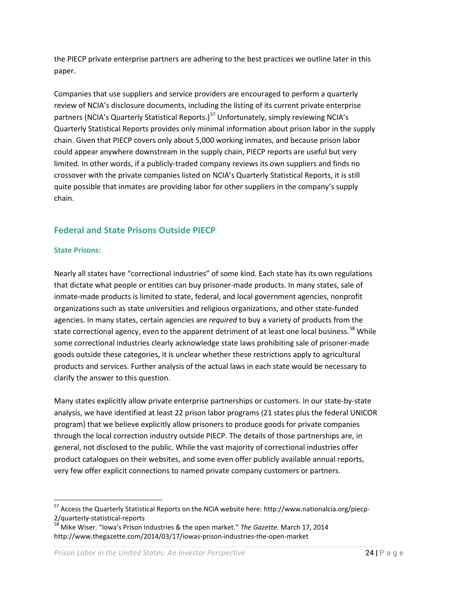the PIECP private enterprise partners are adhering to the best practices we outline later in this paper.

Companies that use suppliers and service providers are encouraged to perform a quarterly review of NCIA's disclosure documents, including the listing of its current private enterprise partners (NCIA's Quarterly Statistical Reports.)<sup>[57](#page-23-2)</sup> Unfortunately, simply reviewing NCIA's Quarterly Statistical Reports provides only minimal information about prison labor in the supply chain. Given that PIECP covers only about 5,000 working inmates, and because prison labor could appear anywhere downstream in the supply chain, PIECP reports are useful but very limited. In other words, if a publicly-traded company reviews its own suppliers and finds no crossover with the private companies listed on NCIA's Quarterly Statistical Reports, it is still quite possible that inmates are providing labor for other suppliers in the company's supply chain.

# <span id="page-23-0"></span>**Federal and State Prisons Outside PIECP**

#### <span id="page-23-1"></span>**State Prisons:**

Nearly all states have "correctional industries" of some kind. Each state has its own regulations that dictate what people or entities can buy prisoner-made products. In many states, sale of inmate-made products is limited to state, federal, and local government agencies, nonprofit organizations such as state universities and religious organizations, and other state-funded agencies. In many states, certain agencies are *required* to buy a variety of products from the state correctional agency, even to the apparent detriment of at least one local business.<sup>[58](#page-23-3)</sup> While some correctional industries clearly acknowledge state laws prohibiting sale of prisoner-made goods outside these categories, it is unclear whether these restrictions apply to agricultural products and services. Further analysis of the actual laws in each state would be necessary to clarify the answer to this question.

Many states explicitly allow private enterprise partnerships or customers. In our state-by-state analysis, we have identified at least 22 prison labor programs (21 states plus the federal UNICOR program) that we believe explicitly allow prisoners to produce goods for private companies through the local correction industry outside PIECP. The details of those partnerships are, in general, not disclosed to the public. While the vast majority of correctional industries offer product catalogues on their websites, and some even offer publicly available annual reports, very few offer explicit connections to named private company customers or partners.

<span id="page-23-2"></span> <sup>57</sup> Access the Quarterly Statistical Reports on the NCIA website here: http://www.nationalcia.org/piecp-2/quarterly-statistical-reports<br><sup>58</sup> Mike Wiser. "Iowa's Prison Industries & the open market." *The Gazette.* March 17, 2014

<span id="page-23-3"></span>http://www.thegazette.com/2014/03/17/iowas-prison-industries-the-open-market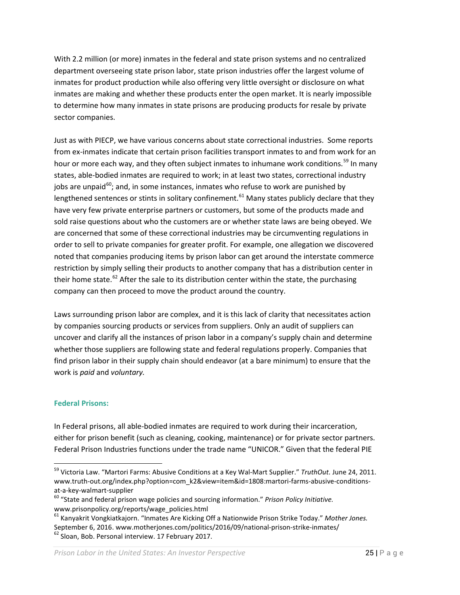With 2.2 million (or more) inmates in the federal and state prison systems and no centralized department overseeing state prison labor, state prison industries offer the largest volume of inmates for product production while also offering very little oversight or disclosure on what inmates are making and whether these products enter the open market. It is nearly impossible to determine how many inmates in state prisons are producing products for resale by private sector companies.

Just as with PIECP, we have various concerns about state correctional industries. Some reports from ex-inmates indicate that certain prison facilities transport inmates to and from work for an hour or more each way, and they often subject inmates to inhumane work conditions.<sup>[59](#page-24-1)</sup> In many states, able-bodied inmates are required to work; in at least two states, correctional industry jobs are unpaid<sup>[60](#page-24-2)</sup>; and, in some instances, inmates who refuse to work are punished by lengthened sentences or stints in solitary confinement.<sup>[61](#page-24-3)</sup> Many states publicly declare that they have very few private enterprise partners or customers, but some of the products made and sold raise questions about who the customers are or whether state laws are being obeyed. We are concerned that some of these correctional industries may be circumventing regulations in order to sell to private companies for greater profit. For example, one allegation we discovered noted that companies producing items by prison labor can get around the interstate commerce restriction by simply selling their products to another company that has a distribution center in their home state.<sup>[62](#page-24-4)</sup> After the sale to its distribution center within the state, the purchasing company can then proceed to move the product around the country.

Laws surrounding prison labor are complex, and it is this lack of clarity that necessitates action by companies sourcing products or services from suppliers. Only an audit of suppliers can uncover and clarify all the instances of prison labor in a company's supply chain and determine whether those suppliers are following state and federal regulations properly. Companies that find prison labor in their supply chain should endeavor (at a bare minimum) to ensure that the work is *paid* and *voluntary.*

#### <span id="page-24-0"></span>**Federal Prisons:**

In Federal prisons, all able-bodied inmates are required to work during their incarceration, either for prison benefit (such as cleaning, cooking, maintenance) or for private sector partners. Federal Prison Industries functions under the trade name "UNICOR." Given that the federal PIE

<span id="page-24-1"></span> <sup>59</sup> Victoria Law. "Martori Farms: Abusive Conditions at a Key Wal-Mart Supplier." *TruthOut.* June 24, 2011. www.truth-out.org/index.php?option=com\_k2&view=item&id=1808:martori-farms-abusive-conditionsat-a-key-walmart-supplier<br><sup>60</sup> "State and federal prison wage policies and sourcing information." *Prison Policy Initiative.* 

<span id="page-24-2"></span>www.prisonpolicy.org/reports/wage\_policies.html

<span id="page-24-4"></span><span id="page-24-3"></span><sup>61</sup> Kanyakrit Vongkiatkajorn. "Inmates Are Kicking Off a Nationwide Prison Strike Today." *Mother Jones.* September 6, 2016. www.motherjones.com/politics/2016/09/national-prison-strike-inmates/<br><sup>62</sup> Sloan. Bob. Personal interview. 17 February 2017.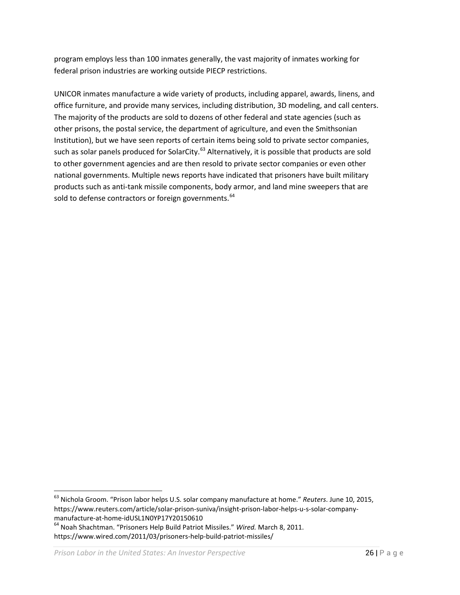program employs less than 100 inmates generally, the vast majority of inmates working for federal prison industries are working outside PIECP restrictions.

UNICOR inmates manufacture a wide variety of products, including apparel, awards, linens, and office furniture, and provide many services, including distribution, 3D modeling, and call centers. The majority of the products are sold to dozens of other federal and state agencies (such as other prisons, the postal service, the department of agriculture, and even the Smithsonian Institution), but we have seen reports of certain items being sold to private sector companies, such as solar panels produced for SolarCity.<sup>[63](#page-25-0)</sup> Alternatively, it is possible that products are sold to other government agencies and are then resold to private sector companies or even other national governments. Multiple news reports have indicated that prisoners have built military products such as anti-tank missile components, body armor, and land mine sweepers that are sold to defense contractors or foreign governments.<sup>[64](#page-25-1)</sup>

<span id="page-25-0"></span> <sup>63</sup> Nichola Groom. "Prison labor helps U.S. solar company manufacture at home." *Reuters*. June 10, 2015, https://www.reuters.com/article/solar-prison-suniva/insight-prison-labor-helps-u-s-solar-companymanufacture-at-home-idUSL1N0YP17Y20150610<br><sup>64</sup> Noah Shachtman. "Prisoners Help Build Patriot Missiles." *Wired.* March 8, 2011.

<span id="page-25-1"></span>https://www.wired.com/2011/03/prisoners-help-build-patriot-missiles/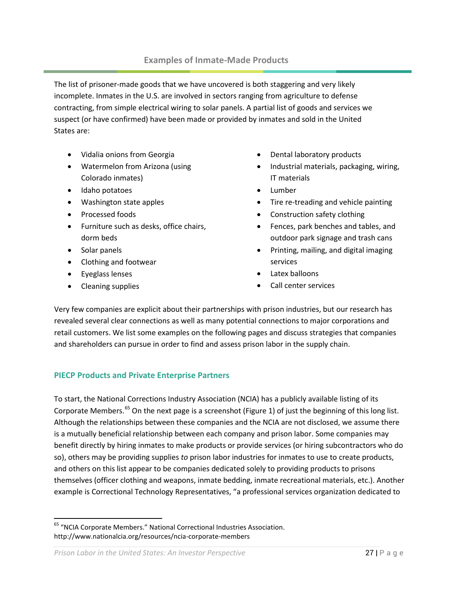#### **Examples of Inmate-Made Products**

<span id="page-26-0"></span>The list of prisoner-made goods that we have uncovered is both staggering and very likely incomplete. Inmates in the U.S. are involved in sectors ranging from agriculture to defense contracting, from simple electrical wiring to solar panels. A partial list of goods and services we suspect (or have confirmed) have been made or provided by inmates and sold in the United States are:

- Vidalia onions from Georgia
- Watermelon from Arizona (using Colorado inmates)
- Idaho potatoes
- Washington state apples
- Processed foods
- Furniture such as desks, office chairs, dorm beds
- Solar panels
- Clothing and footwear
- Eyeglass lenses
- Cleaning supplies
- Dental laboratory products
- Industrial materials, packaging, wiring, IT materials
- Lumber
- Tire re-treading and vehicle painting
- Construction safety clothing
- Fences, park benches and tables, and outdoor park signage and trash cans
- Printing, mailing, and digital imaging services
- Latex balloons
- Call center services

Very few companies are explicit about their partnerships with prison industries, but our research has revealed several clear connections as well as many potential connections to major corporations and retail customers. We list some examples on the following pages and discuss strategies that companies and shareholders can pursue in order to find and assess prison labor in the supply chain.

#### <span id="page-26-1"></span>**PIECP Products and Private Enterprise Partners**

To start, the National Corrections Industry Association (NCIA) has a publicly available listing of its Corporate Members.<sup>[65](#page-26-2)</sup> On the next page is a screenshot (Figure 1) of just the beginning of this long list. Although the relationships between these companies and the NCIA are not disclosed, we assume there is a mutually beneficial relationship between each company and prison labor. Some companies may benefit directly by hiring inmates to make products or provide services (or hiring subcontractors who do so), others may be providing supplies *to* prison labor industries for inmates to use to create products, and others on this list appear to be companies dedicated solely to providing products to prisons themselves (officer clothing and weapons, inmate bedding, inmate recreational materials, etc.). Another example is Correctional Technology Representatives, "a professional services organization dedicated to

<span id="page-26-2"></span> <sup>65</sup> "NCIA Corporate Members." National Correctional Industries Association. http://www.nationalcia.org/resources/ncia-corporate-members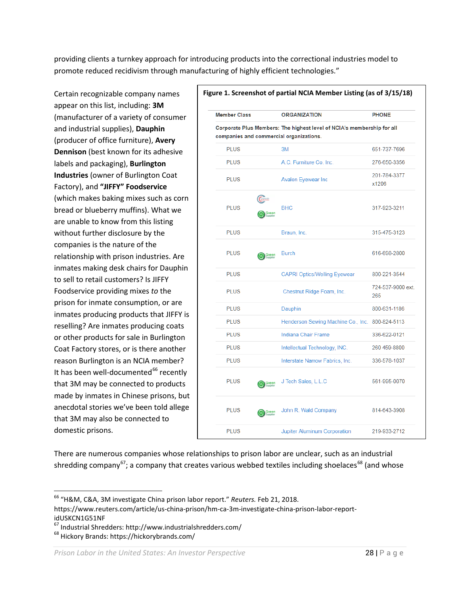providing clients a turnkey approach for introducing products into the correctional industries model to promote reduced recidivism through manufacturing of highly efficient technologies."

Certain recognizable company names appear on this list, including: **3M** (manufacturer of a variety of consumer and industrial supplies), **Dauphin** (producer of office furniture), **Avery Dennison** (best known for its adhesive labels and packaging), **Burlington Industries** (owner of Burlington Coat Factory), and **"JIFFY" Foodservice** (which makes baking mixes such as corn bread or blueberry muffins). What we are unable to know from this listing without further disclosure by the companies is the nature of the relationship with prison industries. Are inmates making desk chairs for Dauphin to sell to retail customers? Is JIFFY Foodservice providing mixes *to* the prison for inmate consumption, or are inmates producing products that JIFFY is reselling? Are inmates producing coats or other products for sale in Burlington Coat Factory stores, or is there another reason Burlington is an NCIA member? It has been well-documented<sup>[66](#page-27-0)</sup> recently that 3M may be connected to products made by inmates in Chinese prisons, but anecdotal stories we've been told allege that 3M may also be connected to domestic prisons.

| <b>Member Class</b>                                                                                               | <b>ORGANIZATION</b>                             | <b>PHONE</b>             |  |
|-------------------------------------------------------------------------------------------------------------------|-------------------------------------------------|--------------------------|--|
| Corporate Plus Members: The highest level of NCIA's membership for all<br>companies and commercial organizations. |                                                 |                          |  |
| PLUS                                                                                                              | 3M                                              | 651-737-7696             |  |
| <b>PLUS</b>                                                                                                       | A.C. Furniture Co. Inc.                         | 276-650-3356             |  |
| <b>PLUS</b>                                                                                                       | Avalon Eyewear Inc                              | 201-784-3377<br>x1206    |  |
| <b>PLUS</b><br>Green<br>Secolar                                                                                   | <b>BHC</b>                                      | 317-923-3211             |  |
| <b>PLUS</b>                                                                                                       | Braun, Inc.                                     | 315-475-3123             |  |
| PLUS<br>Green<br>Suppler                                                                                          | <b>Burch</b>                                    | 616-698-2800             |  |
| <b>PLUS</b>                                                                                                       | <b>CAPRI Optics/Welling Eyewear</b>             | 800-221-3544             |  |
| PLUS                                                                                                              | Chestnut Ridge Foam, Inc.                       | 724-537-9000 ext.<br>265 |  |
| <b>PLUS</b>                                                                                                       | Dauphin                                         | 800-631-1186             |  |
| PLUS                                                                                                              | Henderson Sewing Machine Co., Inc. 800-824-5113 |                          |  |
| PLUS                                                                                                              | Indiana Chair Frame                             | 336-622-0121             |  |
| <b>PLUS</b>                                                                                                       | Intellectual Technology, INC.                   | 260 459-8800             |  |
| <b>PLUS</b>                                                                                                       | Interstate Narrow Fabrics, Inc.                 | 336-578-1037             |  |
| <b>PLUS</b><br>Green<br>Supplier                                                                                  | J Tech Sales, L.L.C                             | 561-995-0070             |  |
| PLUS<br>Green<br>Supplier                                                                                         | John R. Wald Company                            | 814-643-3908             |  |
| <b>PLUS</b>                                                                                                       | Jupiter Aluminum Corporation                    | 219-933-2712             |  |

There are numerous companies whose relationships to prison labor are unclear, such as an industrial shredding company<sup>[67](#page-27-1)</sup>; a company that creates various webbed textiles including shoelaces<sup>[68](#page-27-2)</sup> (and whose

<span id="page-27-0"></span> <sup>66</sup> "H&M, C&A, 3M investigate China prison labor report." *Reuters.* Feb 21, 2018.

https://www.reuters.com/article/us-china-prison/hm-ca-3m-investigate-china-prison-labor-reportidUSKCN1G51NF

<span id="page-27-1"></span> $67$  Industrial Shredders: http://www.industrialshredders.com/<br> $68$  Hickory Brands: https://hickorybrands.com/

<span id="page-27-2"></span>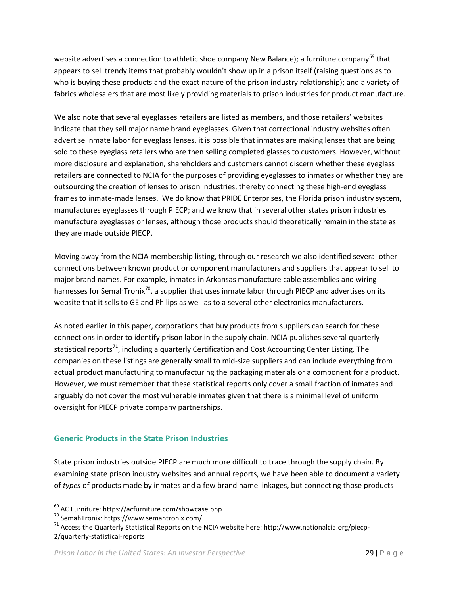website advertises a connection to athletic shoe company New Balance); a furniture company<sup>[69](#page-28-1)</sup> that appears to sell trendy items that probably wouldn't show up in a prison itself (raising questions as to who is buying these products and the exact nature of the prison industry relationship); and a variety of fabrics wholesalers that are most likely providing materials to prison industries for product manufacture.

We also note that several eyeglasses retailers are listed as members, and those retailers' websites indicate that they sell major name brand eyeglasses. Given that correctional industry websites often advertise inmate labor for eyeglass lenses, it is possible that inmates are making lenses that are being sold to these eyeglass retailers who are then selling completed glasses to customers. However, without more disclosure and explanation, shareholders and customers cannot discern whether these eyeglass retailers are connected to NCIA for the purposes of providing eyeglasses to inmates or whether they are outsourcing the creation of lenses to prison industries, thereby connecting these high-end eyeglass frames to inmate-made lenses. We do know that PRIDE Enterprises, the Florida prison industry system, manufactures eyeglasses through PIECP; and we know that in several other states prison industries manufacture eyeglasses or lenses, although those products should theoretically remain in the state as they are made outside PIECP.

Moving away from the NCIA membership listing, through our research we also identified several other connections between known product or component manufacturers and suppliers that appear to sell to major brand names. For example, inmates in Arkansas manufacture cable assemblies and wiring harnesses for SemahTronix<sup>[70](#page-28-2)</sup>, a supplier that uses inmate labor through PIECP and advertises on its website that it sells to GE and Philips as well as to a several other electronics manufacturers.

As noted earlier in this paper, corporations that buy products from suppliers can search for these connections in order to identify prison labor in the supply chain. NCIA publishes several quarterly statistical reports<sup>[71](#page-28-3)</sup>, including a quarterly Certification and Cost Accounting Center Listing. The companies on these listings are generally small to mid-size suppliers and can include everything from actual product manufacturing to manufacturing the packaging materials or a component for a product. However, we must remember that these statistical reports only cover a small fraction of inmates and arguably do not cover the most vulnerable inmates given that there is a minimal level of uniform oversight for PIECP private company partnerships.

#### <span id="page-28-0"></span>**Generic Products in the State Prison Industries**

State prison industries outside PIECP are much more difficult to trace through the supply chain. By examining state prison industry websites and annual reports, we have been able to document a variety of *types* of products made by inmates and a few brand name linkages, but connecting those products

<span id="page-28-3"></span><span id="page-28-2"></span>

<span id="page-28-1"></span><sup>&</sup>lt;sup>69</sup> AC Furniture: https://acfurniture.com/showcase.php<br><sup>70</sup> SemahTronix: https://www.semahtronix.com/<br><sup>71</sup> Access the Quarterly Statistical Reports on the NCIA website here: http://www.nationalcia.org/piecp-2/quarterly-statistical-reports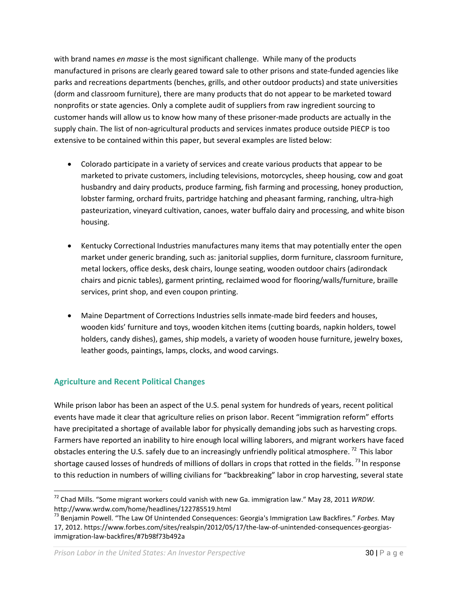with brand names *en masse* is the most significant challenge. While many of the products manufactured in prisons are clearly geared toward sale to other prisons and state-funded agencies like parks and recreations departments (benches, grills, and other outdoor products) and state universities (dorm and classroom furniture), there are many products that do not appear to be marketed toward nonprofits or state agencies. Only a complete audit of suppliers from raw ingredient sourcing to customer hands will allow us to know how many of these prisoner-made products are actually in the supply chain. The list of non-agricultural products and services inmates produce outside PIECP is too extensive to be contained within this paper, but several examples are listed below:

- Colorado participate in a variety of services and create various products that appear to be marketed to private customers, including televisions, motorcycles, sheep housing, cow and goat husbandry and dairy products, produce farming, fish farming and processing, honey production, lobster farming, orchard fruits, partridge hatching and pheasant farming, ranching, ultra-high pasteurization, vineyard cultivation, canoes, water buffalo dairy and processing, and white bison housing.
- Kentucky Correctional Industries manufactures many items that may potentially enter the open market under generic branding, such as: janitorial supplies, dorm furniture, classroom furniture, metal lockers, office desks, desk chairs, lounge seating, wooden outdoor chairs (adirondack chairs and picnic tables), garment printing, reclaimed wood for flooring/walls/furniture, braille services, print shop, and even coupon printing.
- Maine Department of Corrections Industries sells inmate-made bird feeders and houses, wooden kids' furniture and toys, wooden kitchen items (cutting boards, napkin holders, towel holders, candy dishes), games, ship models, a variety of wooden house furniture, jewelry boxes, leather goods, paintings, lamps, clocks, and wood carvings.

# <span id="page-29-0"></span>**Agriculture and Recent Political Changes**

While prison labor has been an aspect of the U.S. penal system for hundreds of years, recent political events have made it clear that agriculture relies on prison labor. Recent "immigration reform" efforts have precipitated a shortage of available labor for physically demanding jobs such as harvesting crops. Farmers have reported an inability to hire enough local willing laborers, and migrant workers have faced obstacles entering the U.S. safely due to an increasingly unfriendly political atmosphere.<sup>[72](#page-29-1)</sup> This labor shortage caused losses of hundreds of millions of dollars in crops that rotted in the fields.<sup>[73](#page-29-2)</sup> In response to this reduction in numbers of willing civilians for "backbreaking" labor in crop harvesting, several state

<span id="page-29-1"></span> <sup>72</sup> Chad Mills. "Some migrant workers could vanish with new Ga. immigration law." May 28, 2011 *WRDW.*  http://www.wrdw.com/home/headlines/122785519.html

<span id="page-29-2"></span><sup>73</sup> Benjamin Powell. "The Law Of Unintended Consequences: Georgia's Immigration Law Backfires." *Forbes.* May 17, 2012. https://www.forbes.com/sites/realspin/2012/05/17/the-law-of-unintended-consequences-georgiasimmigration-law-backfires/#7b98f73b492a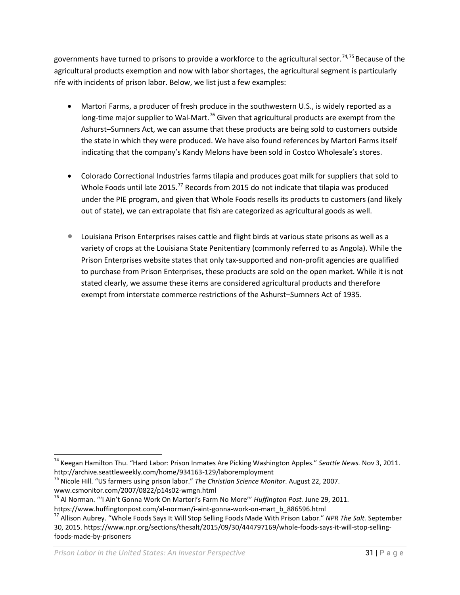governments have turned to prisons to provide a workforce to the agricultural sector.<sup>[74](#page-30-0),[75](#page-30-1)</sup> Because of the agricultural products exemption and now with labor shortages, the agricultural segment is particularly rife with incidents of prison labor. Below, we list just a few examples:

- Martori Farms, a producer of fresh produce in the southwestern U.S., is widely reported as a long-time major supplier to Wal-Mart.<sup>[76](#page-30-2)</sup> Given that agricultural products are exempt from the Ashurst–Sumners Act, we can assume that these products are being sold to customers outside the state in which they were produced. We have also found references by Martori Farms itself indicating that the company's Kandy Melons have been sold in Costco Wholesale's stores.
- Colorado Correctional Industries farms tilapia and produces goat milk for suppliers that sold to Whole Foods until late 2015.<sup>[77](#page-30-3)</sup> Records from 2015 do not indicate that tilapia was produced under the PIE program, and given that Whole Foods resells its products to customers (and likely out of state), we can extrapolate that fish are categorized as agricultural goods as well.
- Louisiana Prison Enterprises raises cattle and flight birds at various state prisons as well as a variety of crops at the Louisiana State Penitentiary (commonly referred to as Angola). While the Prison Enterprises website states that only tax-supported and non-profit agencies are qualified to purchase from Prison Enterprises, these products are sold on the open market. While it is not stated clearly, we assume these items are considered agricultural products and therefore exempt from interstate commerce restrictions of the Ashurst–Sumners Act of 1935.

<span id="page-30-0"></span> <sup>74</sup> Keegan Hamilton Thu. "Hard Labor: Prison Inmates Are Picking Washington Apples." *Seattle News.* Nov 3, 2011.

<span id="page-30-1"></span><sup>&</sup>lt;sup>75</sup> Nicole Hill. "US farmers using prison labor." *The Christian Science Monitor*. August 22, 2007. www.csmonitor.com/2007/0822/p14s02-wmgn.html<br><sup>76</sup> Al Norman. "'I Ain't Gonna Work On Martori's Farm No More'" *Huffington Post.* June 29, 2011.

<span id="page-30-2"></span>

<span id="page-30-3"></span>

https://www.huffingtonpost.com/al-norman/i-aint-gonna-work-on-mart\_b\_886596.html <sup>77</sup> Allison Aubrey. "Whole Foods Says It Will Stop Selling Foods Made With Prison Labor." *NPR The Salt.* September 30, 2015. https://www.npr.org/sections/thesalt/2015/09/30/444797169/whole-foods-says-it-will-stop-sellingfoods-made-by-prisoners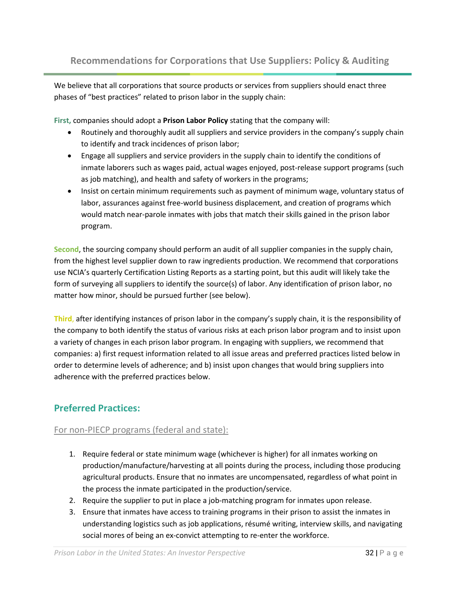<span id="page-31-0"></span>We believe that all corporations that source products or services from suppliers should enact three phases of "best practices" related to prison labor in the supply chain:

**First,** companies should adopt a **Prison Labor Policy** stating that the company will:

- Routinely and thoroughly audit all suppliers and service providers in the company's supply chain to identify and track incidences of prison labor;
- Engage all suppliers and service providers in the supply chain to identify the conditions of inmate laborers such as wages paid, actual wages enjoyed, post-release support programs (such as job matching), and health and safety of workers in the programs;
- Insist on certain minimum requirements such as payment of minimum wage, voluntary status of labor, assurances against free-world business displacement, and creation of programs which would match near-parole inmates with jobs that match their skills gained in the prison labor program.

**Second**, the sourcing company should perform an audit of all supplier companies in the supply chain, from the highest level supplier down to raw ingredients production. We recommend that corporations use NCIA's quarterly Certification Listing Reports as a starting point, but this audit will likely take the form of surveying all suppliers to identify the source(s) of labor. Any identification of prison labor, no matter how minor, should be pursued further (see below).

**Third**, after identifying instances of prison labor in the company's supply chain, it is the responsibility of the company to both identify the status of various risks at each prison labor program and to insist upon a variety of changes in each prison labor program. In engaging with suppliers, we recommend that companies: a) first request information related to all issue areas and preferred practices listed below in order to determine levels of adherence; and b) insist upon changes that would bring suppliers into adherence with the preferred practices below.

# <span id="page-31-1"></span>**Preferred Practices:**

#### <span id="page-31-2"></span>For non-PIECP programs (federal and state):

- 1. Require federal or state minimum wage (whichever is higher) for all inmates working on production/manufacture/harvesting at all points during the process, including those producing agricultural products. Ensure that no inmates are uncompensated, regardless of what point in the process the inmate participated in the production/service.
- 2. Require the supplier to put in place a job-matching program for inmates upon release.
- 3. Ensure that inmates have access to training programs in their prison to assist the inmates in understanding logistics such as job applications, résumé writing, interview skills, and navigating social mores of being an ex-convict attempting to re-enter the workforce.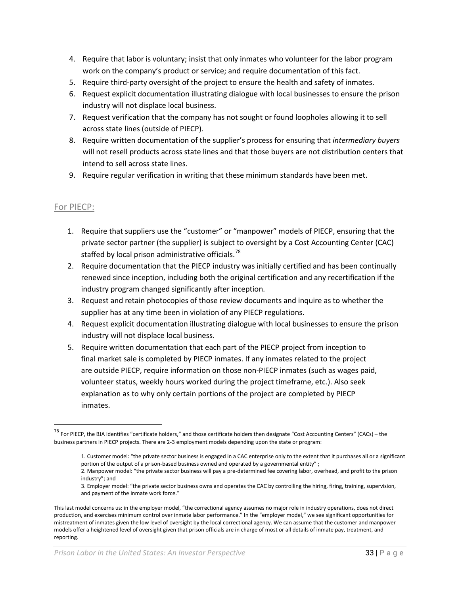- 4. Require that labor is voluntary; insist that only inmates who volunteer for the labor program work on the company's product or service; and require documentation of this fact.
- 5. Require third-party oversight of the project to ensure the health and safety of inmates.
- 6. Request explicit documentation illustrating dialogue with local businesses to ensure the prison industry will not displace local business.
- 7. Request verification that the company has not sought or found loopholes allowing it to sell across state lines (outside of PIECP).
- 8. Require written documentation of the supplier's process for ensuring that *intermediary buyers* will not resell products across state lines and that those buyers are not distribution centers that intend to sell across state lines.
- 9. Require regular verification in writing that these minimum standards have been met.

#### <span id="page-32-0"></span>For PIECP:

- 1. Require that suppliers use the "customer" or "manpower" models of PIECP, ensuring that the private sector partner (the supplier) is subject to oversight by a Cost Accounting Center (CAC) staffed by local prison administrative officials.<sup>[78](#page-32-1)</sup>
- 2. Require documentation that the PIECP industry was initially certified and has been continually renewed since inception, including both the original certification and any recertification if the industry program changed significantly after inception.
- 3. Request and retain photocopies of those review documents and inquire as to whether the supplier has at any time been in violation of any PIECP regulations.
- 4. Request explicit documentation illustrating dialogue with local businesses to ensure the prison industry will not displace local business.
- 5. Require written documentation that each part of the PIECP project from inception to final market sale is completed by PIECP inmates. If any inmates related to the project are outside PIECP, require information on those non-PIECP inmates (such as wages paid, volunteer status, weekly hours worked during the project timeframe, etc.). Also seek explanation as to why only certain portions of the project are completed by PIECP inmates.

<span id="page-32-1"></span> $^{78}$  For PIECP, the BJA identifies "certificate holders," and those certificate holders then designate "Cost Accounting Centers" (CACs) – the business partners in PIECP projects. There are 2-3 employment models depending upon the state or program:

<sup>1.</sup> Customer model: "the private sector business is engaged in a CAC enterprise only to the extent that it purchases all or a significant portion of the output of a prison-based business owned and operated by a governmental entity" ;

<sup>2.</sup> Manpower model: "the private sector business will pay a pre-determined fee covering labor, overhead, and profit to the prison industry"; and

<sup>3.</sup> Employer model: "the private sector business owns and operates the CAC by controlling the hiring, firing, training, supervision, and payment of the inmate work force."

This last model concerns us: in the employer model, "the correctional agency assumes no major role in industry operations, does not direct production, and exercises minimum control over inmate labor performance." In the "employer model," we see significant opportunities for mistreatment of inmates given the low level of oversight by the local correctional agency. We can assume that the customer and manpower models offer a heightened level of oversight given that prison officials are in charge of most or all details of inmate pay, treatment, and reporting.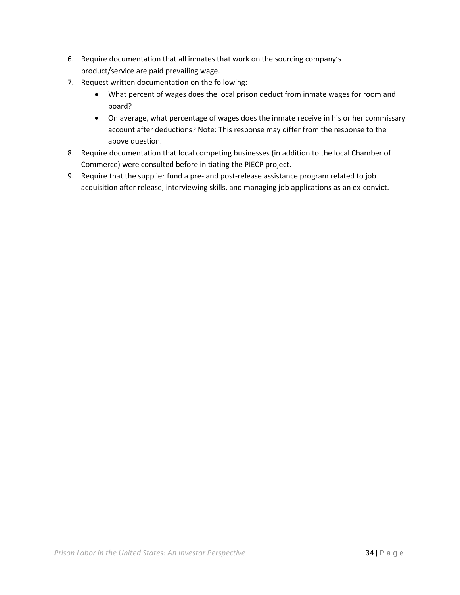- 6. Require documentation that all inmates that work on the sourcing company's product/service are paid prevailing wage.
- 7. Request written documentation on the following:
	- What percent of wages does the local prison deduct from inmate wages for room and board?
	- On average, what percentage of wages does the inmate receive in his or her commissary account after deductions? Note: This response may differ from the response to the above question.
- 8. Require documentation that local competing businesses (in addition to the local Chamber of Commerce) were consulted before initiating the PIECP project.
- 9. Require that the supplier fund a pre- and post-release assistance program related to job acquisition after release, interviewing skills, and managing job applications as an ex-convict.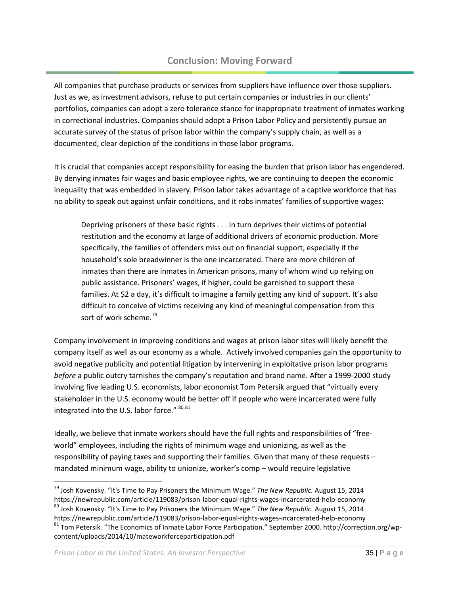# **Conclusion: Moving Forward**

<span id="page-34-0"></span>All companies that purchase products or services from suppliers have influence over those suppliers. Just as we, as investment advisors, refuse to put certain companies or industries in our clients' portfolios, companies can adopt a zero tolerance stance for inappropriate treatment of inmates working in correctional industries. Companies should adopt a Prison Labor Policy and persistently pursue an accurate survey of the status of prison labor within the company's supply chain, as well as a documented, clear depiction of the conditions in those labor programs.

It is crucial that companies accept responsibility for easing the burden that prison labor has engendered. By denying inmates fair wages and basic employee rights, we are continuing to deepen the economic inequality that was embedded in slavery. Prison labor takes advantage of a captive workforce that has no ability to speak out against unfair conditions, and it robs inmates' families of supportive wages:

Depriving prisoners of these basic rights . . . in turn deprives their victims of potential restitution and the economy at large of additional drivers of economic production. More specifically, the families of offenders miss out on financial support, especially if the household's sole breadwinner is the one incarcerated. There are more children of inmates than there are inmates in American prisons, many of whom wind up relying on public assistance. Prisoners' wages, if higher, could be garnished to support these families. At \$2 a day, it's difficult to imagine a family getting any kind of support. It's also difficult to conceive of victims receiving any kind of meaningful compensation from this sort of work scheme.<sup>[79](#page-34-1)</sup>

Company involvement in improving conditions and wages at prison labor sites will likely benefit the company itself as well as our economy as a whole. Actively involved companies gain the opportunity to avoid negative publicity and potential litigation by intervening in exploitative prison labor programs *before* a public outcry tarnishes the company's reputation and brand name. After a 1999-2000 study involving five leading U.S. economists, labor economist Tom Petersik argued that "virtually every stakeholder in the U.S. economy would be better off if people who were incarcerated were fully integrated into the U.S. labor force." [80](#page-34-2)[,81](#page-34-3)

Ideally, we believe that inmate workers should have the full rights and responsibilities of "freeworld" employees, including the rights of minimum wage and unionizing, as well as the responsibility of paying taxes and supporting their families. Given that many of these requests – mandated minimum wage, ability to unionize, worker's comp – would require legislative

<span id="page-34-2"></span><sup>80</sup> Josh Kovensky. "It's Time to Pay Prisoners the Minimum Wage." *The New Republic.* August 15, 2014 https://newrepublic.com/article/119083/prison-labor-equal-rights-wages-incarcerated-help-economy

<span id="page-34-1"></span> <sup>79</sup> Josh Kovensky. "It's Time to Pay Prisoners the Minimum Wage." *The New Republic.* August 15, 2014

<span id="page-34-3"></span><sup>&</sup>lt;sup>81</sup> Tom Petersik. "The Economics of Inmate Labor Force Participation." September 2000. http://correction.org/wpcontent/uploads/2014/10/mateworkforceparticipation.pdf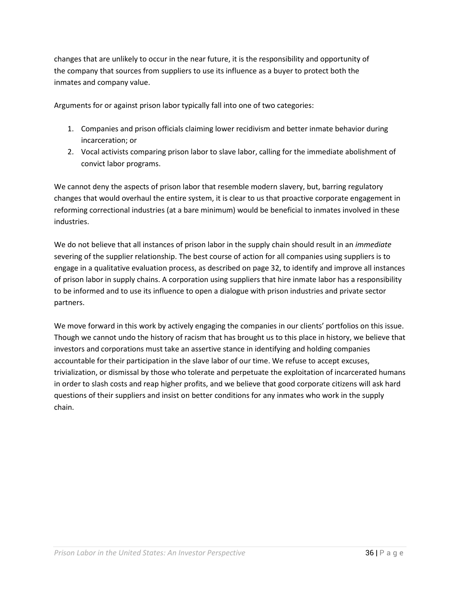changes that are unlikely to occur in the near future, it is the responsibility and opportunity of the company that sources from suppliers to use its influence as a buyer to protect both the inmates and company value.

Arguments for or against prison labor typically fall into one of two categories:

- 1. Companies and prison officials claiming lower recidivism and better inmate behavior during incarceration; or
- 2. Vocal activists comparing prison labor to slave labor, calling for the immediate abolishment of convict labor programs.

We cannot deny the aspects of prison labor that resemble modern slavery, but, barring regulatory changes that would overhaul the entire system, it is clear to us that proactive corporate engagement in reforming correctional industries (at a bare minimum) would be beneficial to inmates involved in these industries.

We do not believe that all instances of prison labor in the supply chain should result in an *immediate* severing of the supplier relationship. The best course of action for all companies using suppliers is to engage in a qualitative evaluation process, as described on pag[e 32,](#page-31-0) to identify and improve all instances of prison labor in supply chains. A corporation using suppliers that hire inmate labor has a responsibility to be informed and to use its influence to open a dialogue with prison industries and private sector partners.

We move forward in this work by actively engaging the companies in our clients' portfolios on this issue. Though we cannot undo the history of racism that has brought us to this place in history, we believe that investors and corporations must take an assertive stance in identifying and holding companies accountable for their participation in the slave labor of our time. We refuse to accept excuses, trivialization, or dismissal by those who tolerate and perpetuate the exploitation of incarcerated humans in order to slash costs and reap higher profits, and we believe that good corporate citizens will ask hard questions of their suppliers and insist on better conditions for any inmates who work in the supply chain.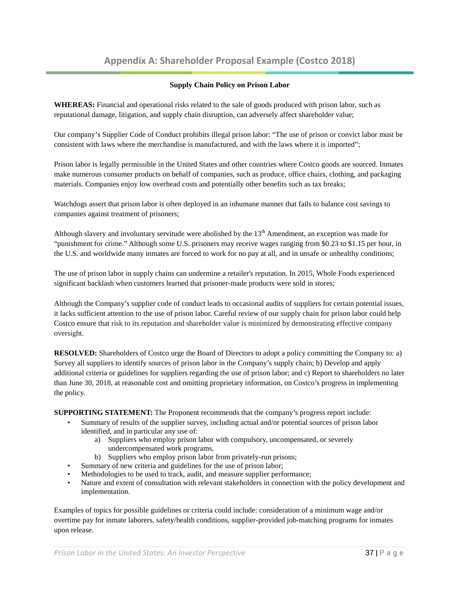# **Appendix A: Shareholder Proposal Example (Costco 2018)**

#### **Supply Chain Policy on Prison Labor**

<span id="page-36-0"></span>**WHEREAS:** Financial and operational risks related to the sale of goods produced with prison labor, such as reputational damage, litigation, and supply chain disruption, can adversely affect shareholder value;

Our company's Supplier Code of Conduct prohibits illegal prison labor: "The use of prison or convict labor must be consistent with laws where the merchandise is manufactured, and with the laws where it is imported";

Prison labor is legally permissible in the United States and other countries where Costco goods are sourced. Inmates make numerous consumer products on behalf of companies, such as produce, office chairs, clothing, and packaging materials. Companies enjoy low overhead costs and potentially other benefits such as tax breaks;

Watchdogs assert that prison labor is often deployed in an inhumane manner that fails to balance cost savings to companies against treatment of prisoners;

Although slavery and involuntary servitude were abolished by the  $13<sup>th</sup>$  Amendment, an exception was made for "punishment for crime." Although some U.S. prisoners may receive wages ranging from \$0.23 to \$1.15 per hour, in the U.S. and worldwide many inmates are forced to work for no pay at all, and in unsafe or unhealthy conditions;

The use of prison labor in supply chains can undermine a retailer's reputation. In 2015, Whole Foods experienced significant backlash when customers learned that prisoner-made products were sold in stores;

Although the Company's supplier code of conduct leads to occasional audits of suppliers for certain potential issues, it lacks sufficient attention to the use of prison labor. Careful review of our supply chain for prison labor could help Costco ensure that risk to its reputation and shareholder value is minimized by demonstrating effective company oversight.

**RESOLVED:** Shareholders of Costco urge the Board of Directors to adopt a policy committing the Company to: a) Survey all suppliers to identify sources of prison labor in the Company's supply chain; b) Develop and apply additional criteria or guidelines for suppliers regarding the use of prison labor; and c) Report to shareholders no later than June 30, 2018, at reasonable cost and omitting proprietary information, on Costco's progress in implementing the policy.

**SUPPORTING STATEMENT:** The Proponent recommends that the company's progress report include:

- Summary of results of the supplier survey, including actual and/or potential sources of prison labor identified, and in particular any use of:
	- a) Suppliers who employ prison labor with compulsory, uncompensated, or severely undercompensated work programs,
	- b) Suppliers who employ prison labor from privately-run prisons;
- Summary of new criteria and guidelines for the use of prison labor;
- Methodologies to be used to track, audit, and measure supplier performance;
- Nature and extent of consultation with relevant stakeholders in connection with the policy development and implementation.

Examples of topics for possible guidelines or criteria could include: consideration of a minimum wage and/or overtime pay for inmate laborers, safety/health conditions, supplier-provided job-matching programs for inmates upon release.